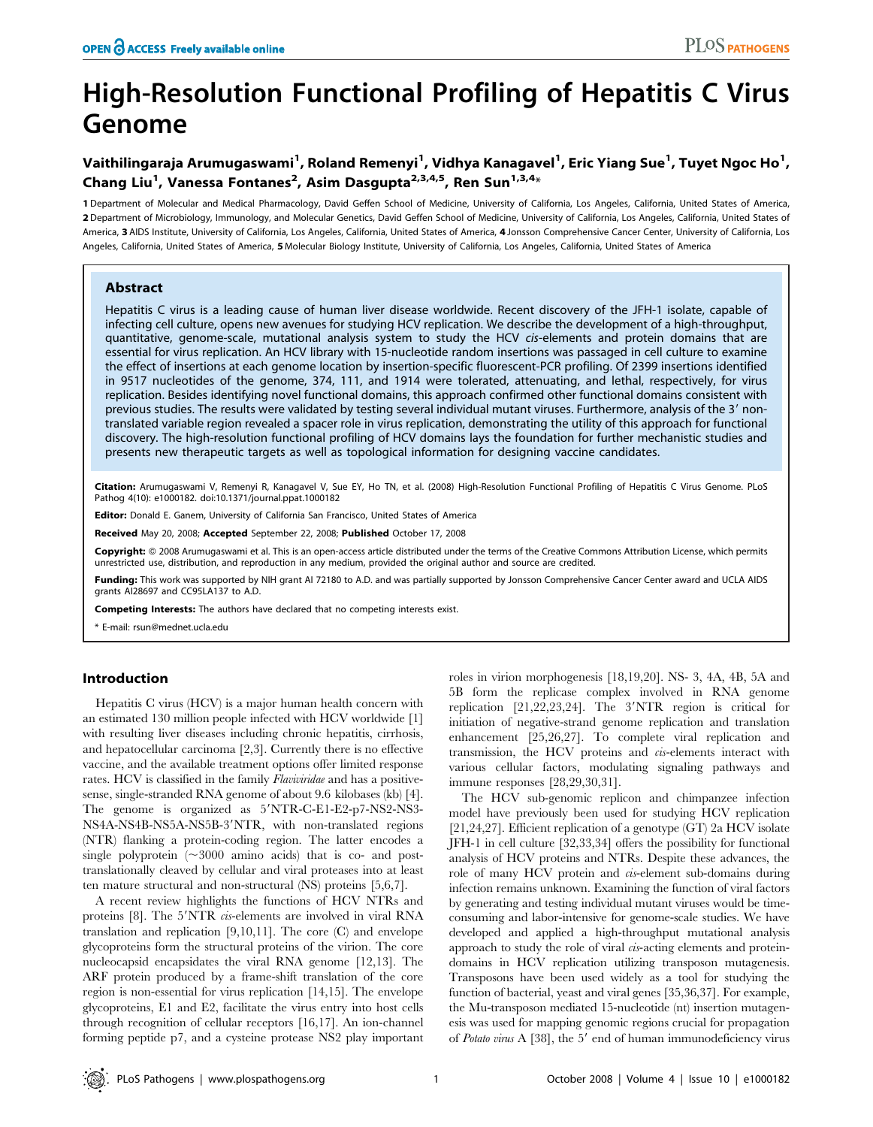# High-Resolution Functional Profiling of Hepatitis C Virus Genome

## Vaithilingaraja Arumugaswami<sup>1</sup>, Roland Remenyi<sup>1</sup>, Vidhya Kanagavel<sup>1</sup>, Eric Yiang Sue<sup>1</sup>, Tuyet Ngoc Ho<sup>1</sup>, Chang Liu<sup>1</sup>, Vanessa Fontanes<sup>2</sup>, Asim Dasgupta<sup>2,3,4,5</sup>, Ren Sun<sup>1,3,4</sup>\*

1 Department of Molecular and Medical Pharmacology, David Geffen School of Medicine, University of California, Los Angeles, California, United States of America, 2 Department of Microbiology, Immunology, and Molecular Genetics, David Geffen School of Medicine, University of California, Los Angeles, California, United States of America, 3 AIDS Institute, University of California, Los Angeles, California, United States of America, 4 Jonsson Comprehensive Cancer Center, University of California, Los Angeles, California, United States of America, 5 Molecular Biology Institute, University of California, Los Angeles, California, United States of America

## Abstract

Hepatitis C virus is a leading cause of human liver disease worldwide. Recent discovery of the JFH-1 isolate, capable of infecting cell culture, opens new avenues for studying HCV replication. We describe the development of a high-throughput, quantitative, genome-scale, mutational analysis system to study the HCV cis-elements and protein domains that are essential for virus replication. An HCV library with 15-nucleotide random insertions was passaged in cell culture to examine the effect of insertions at each genome location by insertion-specific fluorescent-PCR profiling. Of 2399 insertions identified in 9517 nucleotides of the genome, 374, 111, and 1914 were tolerated, attenuating, and lethal, respectively, for virus replication. Besides identifying novel functional domains, this approach confirmed other functional domains consistent with previous studies. The results were validated by testing several individual mutant viruses. Furthermore, analysis of the 3' nontranslated variable region revealed a spacer role in virus replication, demonstrating the utility of this approach for functional discovery. The high-resolution functional profiling of HCV domains lays the foundation for further mechanistic studies and presents new therapeutic targets as well as topological information for designing vaccine candidates.

Citation: Arumugaswami V, Remenyi R, Kanagavel V, Sue EY, Ho TN, et al. (2008) High-Resolution Functional Profiling of Hepatitis C Virus Genome. PLoS Pathog 4(10): e1000182. doi:10.1371/journal.ppat.1000182

Editor: Donald E. Ganem, University of California San Francisco, United States of America

Received May 20, 2008; Accepted September 22, 2008; Published October 17, 2008

Copyright: © 2008 Arumugaswami et al. This is an open-access article distributed under the terms of the Creative Commons Attribution License, which permits unrestricted use, distribution, and reproduction in any medium, provided the original author and source are credited.

Funding: This work was supported by NIH grant AI 72180 to A.D. and was partially supported by Jonsson Comprehensive Cancer Center award and UCLA AIDS grants AI28697 and CC95LA137 to A.D.

Competing Interests: The authors have declared that no competing interests exist.

\* E-mail: rsun@mednet.ucla.edu

## Introduction

Hepatitis C virus (HCV) is a major human health concern with an estimated 130 million people infected with HCV worldwide [1] with resulting liver diseases including chronic hepatitis, cirrhosis, and hepatocellular carcinoma [2,3]. Currently there is no effective vaccine, and the available treatment options offer limited response rates. HCV is classified in the family Flaviviridae and has a positivesense, single-stranded RNA genome of about 9.6 kilobases (kb) [4]. The genome is organized as 5'NTR-C-E1-E2-p7-NS2-NS3-NS4A-NS4B-NS5A-NS5B-3'NTR, with non-translated regions (NTR) flanking a protein-coding region. The latter encodes a single polyprotein  $(\sim 3000)$  amino acids) that is co- and posttranslationally cleaved by cellular and viral proteases into at least ten mature structural and non-structural (NS) proteins [5,6,7].

A recent review highlights the functions of HCV NTRs and proteins [8]. The 5'NTR *cis*-elements are involved in viral RNA translation and replication [9,10,11]. The core (C) and envelope glycoproteins form the structural proteins of the virion. The core nucleocapsid encapsidates the viral RNA genome [12,13]. The ARF protein produced by a frame-shift translation of the core region is non-essential for virus replication [14,15]. The envelope glycoproteins, E1 and E2, facilitate the virus entry into host cells through recognition of cellular receptors [16,17]. An ion-channel forming peptide p7, and a cysteine protease NS2 play important roles in virion morphogenesis [18,19,20]. NS- 3, 4A, 4B, 5A and 5B form the replicase complex involved in RNA genome replication  $[21,22,23,24]$ . The 3'NTR region is critical for initiation of negative-strand genome replication and translation enhancement [25,26,27]. To complete viral replication and transmission, the HCV proteins and cis-elements interact with various cellular factors, modulating signaling pathways and immune responses [28,29,30,31].

The HCV sub-genomic replicon and chimpanzee infection model have previously been used for studying HCV replication [21,24,27]. Efficient replication of a genotype (GT) 2a HCV isolate JFH-1 in cell culture [32,33,34] offers the possibility for functional analysis of HCV proteins and NTRs. Despite these advances, the role of many HCV protein and cis-element sub-domains during infection remains unknown. Examining the function of viral factors by generating and testing individual mutant viruses would be timeconsuming and labor-intensive for genome-scale studies. We have developed and applied a high-throughput mutational analysis approach to study the role of viral cis-acting elements and proteindomains in HCV replication utilizing transposon mutagenesis. Transposons have been used widely as a tool for studying the function of bacterial, yeast and viral genes [35,36,37]. For example, the Mu-transposon mediated 15-nucleotide (nt) insertion mutagenesis was used for mapping genomic regions crucial for propagation of Potato virus A  $[38]$ , the 5' end of human immunodeficiency virus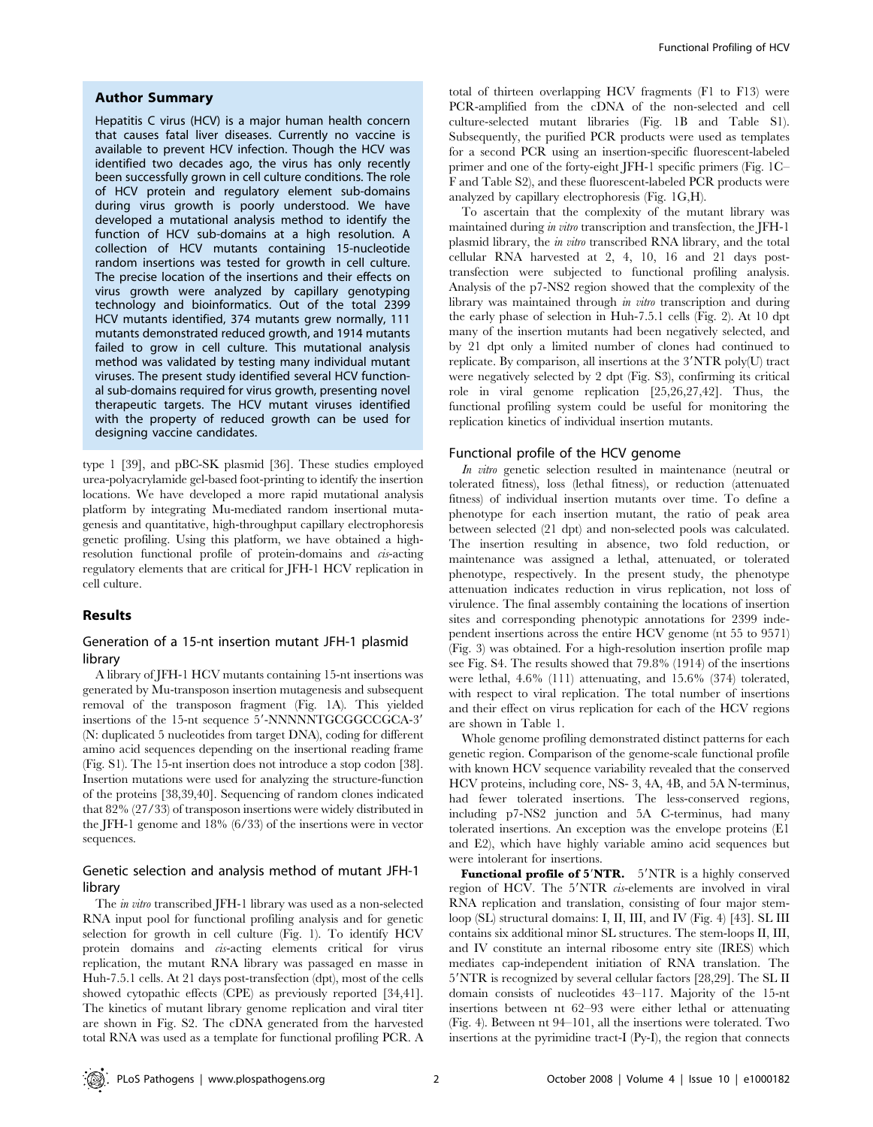## Author Summary

Hepatitis C virus (HCV) is a major human health concern that causes fatal liver diseases. Currently no vaccine is available to prevent HCV infection. Though the HCV was identified two decades ago, the virus has only recently been successfully grown in cell culture conditions. The role of HCV protein and regulatory element sub-domains during virus growth is poorly understood. We have developed a mutational analysis method to identify the function of HCV sub-domains at a high resolution. A collection of HCV mutants containing 15-nucleotide random insertions was tested for growth in cell culture. The precise location of the insertions and their effects on virus growth were analyzed by capillary genotyping technology and bioinformatics. Out of the total 2399 HCV mutants identified, 374 mutants grew normally, 111 mutants demonstrated reduced growth, and 1914 mutants failed to grow in cell culture. This mutational analysis method was validated by testing many individual mutant viruses. The present study identified several HCV functional sub-domains required for virus growth, presenting novel therapeutic targets. The HCV mutant viruses identified with the property of reduced growth can be used for designing vaccine candidates.

type 1 [39], and pBC-SK plasmid [36]. These studies employed urea-polyacrylamide gel-based foot-printing to identify the insertion locations. We have developed a more rapid mutational analysis platform by integrating Mu-mediated random insertional mutagenesis and quantitative, high-throughput capillary electrophoresis genetic profiling. Using this platform, we have obtained a highresolution functional profile of protein-domains and cis-acting regulatory elements that are critical for JFH-1 HCV replication in cell culture.

## Results

## Generation of a 15-nt insertion mutant JFH-1 plasmid library

A library of JFH-1 HCV mutants containing 15-nt insertions was generated by Mu-transposon insertion mutagenesis and subsequent removal of the transposon fragment (Fig. 1A). This yielded insertions of the 15-nt sequence 5'-NNNNNTGCGGCGCA-3' (N: duplicated 5 nucleotides from target DNA), coding for different amino acid sequences depending on the insertional reading frame (Fig. S1). The 15-nt insertion does not introduce a stop codon [38]. Insertion mutations were used for analyzing the structure-function of the proteins [38,39,40]. Sequencing of random clones indicated that 82% (27/33) of transposon insertions were widely distributed in the JFH-1 genome and 18% (6/33) of the insertions were in vector sequences.

## Genetic selection and analysis method of mutant JFH-1 library

The in vitro transcribed JFH-1 library was used as a non-selected RNA input pool for functional profiling analysis and for genetic selection for growth in cell culture (Fig. 1). To identify HCV protein domains and *cus*-acting elements critical for virus replication, the mutant RNA library was passaged en masse in Huh-7.5.1 cells. At 21 days post-transfection (dpt), most of the cells showed cytopathic effects (CPE) as previously reported [34,41]. The kinetics of mutant library genome replication and viral titer are shown in Fig. S2. The cDNA generated from the harvested total RNA was used as a template for functional profiling PCR. A total of thirteen overlapping HCV fragments (F1 to F13) were PCR-amplified from the cDNA of the non-selected and cell culture-selected mutant libraries (Fig. 1B and Table S1). Subsequently, the purified PCR products were used as templates for a second PCR using an insertion-specific fluorescent-labeled primer and one of the forty-eight JFH-1 specific primers (Fig. 1C– F and Table S2), and these fluorescent-labeled PCR products were analyzed by capillary electrophoresis (Fig. 1G,H).

To ascertain that the complexity of the mutant library was maintained during in vitro transcription and transfection, the JFH-1 plasmid library, the in vitro transcribed RNA library, and the total cellular RNA harvested at 2, 4, 10, 16 and 21 days posttransfection were subjected to functional profiling analysis. Analysis of the p7-NS2 region showed that the complexity of the library was maintained through in vitro transcription and during the early phase of selection in Huh-7.5.1 cells (Fig. 2). At 10 dpt many of the insertion mutants had been negatively selected, and by 21 dpt only a limited number of clones had continued to replicate. By comparison, all insertions at the 3'NTR poly(U) tract were negatively selected by 2 dpt (Fig. S3), confirming its critical role in viral genome replication [25,26,27,42]. Thus, the functional profiling system could be useful for monitoring the replication kinetics of individual insertion mutants.

#### Functional profile of the HCV genome

In vitro genetic selection resulted in maintenance (neutral or tolerated fitness), loss (lethal fitness), or reduction (attenuated fitness) of individual insertion mutants over time. To define a phenotype for each insertion mutant, the ratio of peak area between selected (21 dpt) and non-selected pools was calculated. The insertion resulting in absence, two fold reduction, or maintenance was assigned a lethal, attenuated, or tolerated phenotype, respectively. In the present study, the phenotype attenuation indicates reduction in virus replication, not loss of virulence. The final assembly containing the locations of insertion sites and corresponding phenotypic annotations for 2399 independent insertions across the entire HCV genome (nt 55 to 9571) (Fig. 3) was obtained. For a high-resolution insertion profile map see Fig. S4. The results showed that 79.8% (1914) of the insertions were lethal, 4.6% (111) attenuating, and 15.6% (374) tolerated, with respect to viral replication. The total number of insertions and their effect on virus replication for each of the HCV regions are shown in Table 1.

Whole genome profiling demonstrated distinct patterns for each genetic region. Comparison of the genome-scale functional profile with known HCV sequence variability revealed that the conserved HCV proteins, including core, NS- 3, 4A, 4B, and 5A N-terminus, had fewer tolerated insertions. The less-conserved regions, including p7-NS2 junction and 5A C-terminus, had many tolerated insertions. An exception was the envelope proteins (E1 and E2), which have highly variable amino acid sequences but were intolerant for insertions.

**Functional profile of 5'NTR.** 5'NTR is a highly conserved region of HCV. The 5'NTR *cis*-elements are involved in viral RNA replication and translation, consisting of four major stemloop (SL) structural domains: I, II, III, and IV (Fig. 4) [43]. SL III contains six additional minor SL structures. The stem-loops II, III, and IV constitute an internal ribosome entry site (IRES) which mediates cap-independent initiation of RNA translation. The 5'NTR is recognized by several cellular factors [28,29]. The SL II domain consists of nucleotides 43–117. Majority of the 15-nt insertions between nt 62–93 were either lethal or attenuating (Fig. 4). Between nt 94–101, all the insertions were tolerated. Two insertions at the pyrimidine tract-I (Py-I), the region that connects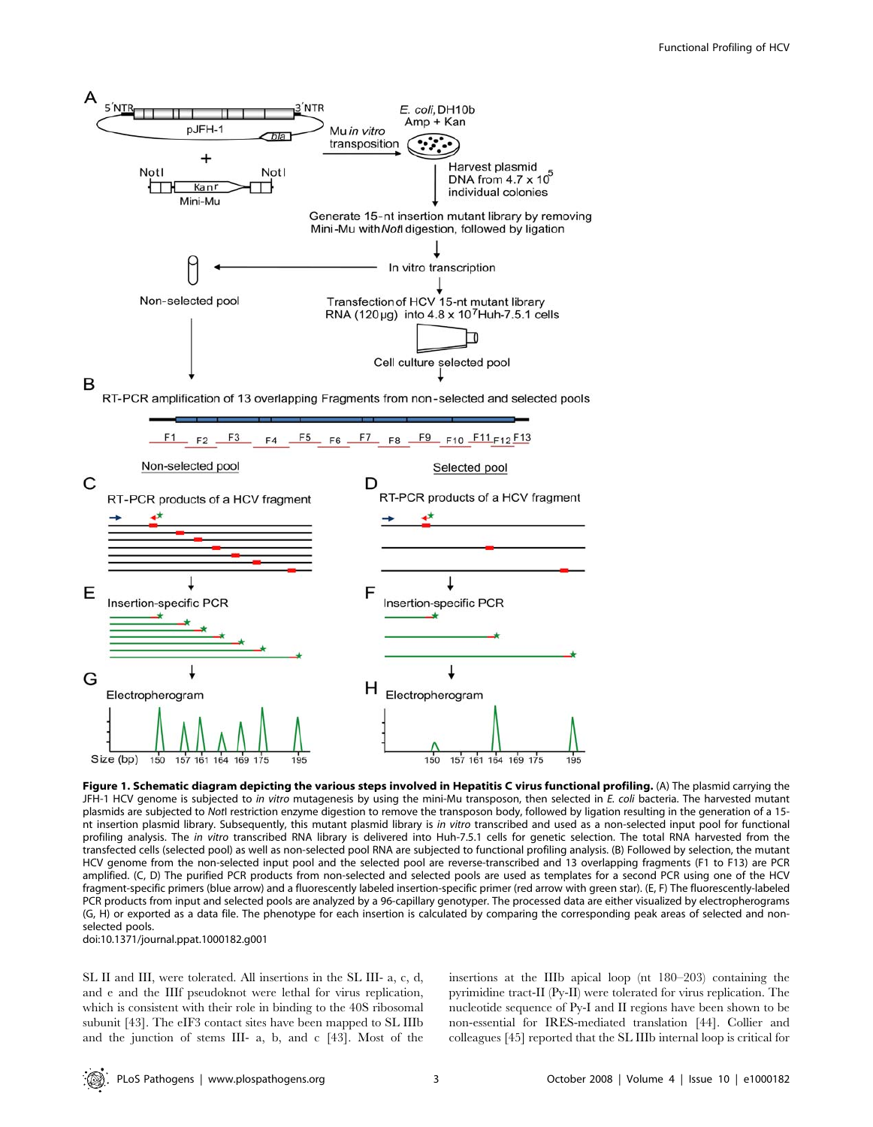

Figure 1. Schematic diagram depicting the various steps involved in Hepatitis C virus functional profiling. (A) The plasmid carrying the JFH-1 HCV genome is subjected to in vitro mutagenesis by using the mini-Mu transposon, then selected in E. coli bacteria. The harvested mutant plasmids are subjected to NotI restriction enzyme digestion to remove the transposon body, followed by ligation resulting in the generation of a 15 nt insertion plasmid library. Subsequently, this mutant plasmid library is in vitro transcribed and used as a non-selected input pool for functional profiling analysis. The in vitro transcribed RNA library is delivered into Huh-7.5.1 cells for genetic selection. The total RNA harvested from the transfected cells (selected pool) as well as non-selected pool RNA are subjected to functional profiling analysis. (B) Followed by selection, the mutant HCV genome from the non-selected input pool and the selected pool are reverse-transcribed and 13 overlapping fragments (F1 to F13) are PCR amplified. (C, D) The purified PCR products from non-selected and selected pools are used as templates for a second PCR using one of the HCV fragment-specific primers (blue arrow) and a fluorescently labeled insertion-specific primer (red arrow with green star). (E, F) The fluorescently-labeled PCR products from input and selected pools are analyzed by a 96-capillary genotyper. The processed data are either visualized by electropherograms (G, H) or exported as a data file. The phenotype for each insertion is calculated by comparing the corresponding peak areas of selected and nonselected pools.

doi:10.1371/journal.ppat.1000182.g001

SL II and III, were tolerated. All insertions in the SL III- a, c, d, and e and the IIIf pseudoknot were lethal for virus replication, which is consistent with their role in binding to the 40S ribosomal subunit [43]. The eIF3 contact sites have been mapped to SL IIIb and the junction of stems III- a, b, and c [43]. Most of the insertions at the IIIb apical loop (nt 180–203) containing the pyrimidine tract-II (Py-II) were tolerated for virus replication. The nucleotide sequence of Py-I and II regions have been shown to be non-essential for IRES-mediated translation [44]. Collier and colleagues [45] reported that the SL IIIb internal loop is critical for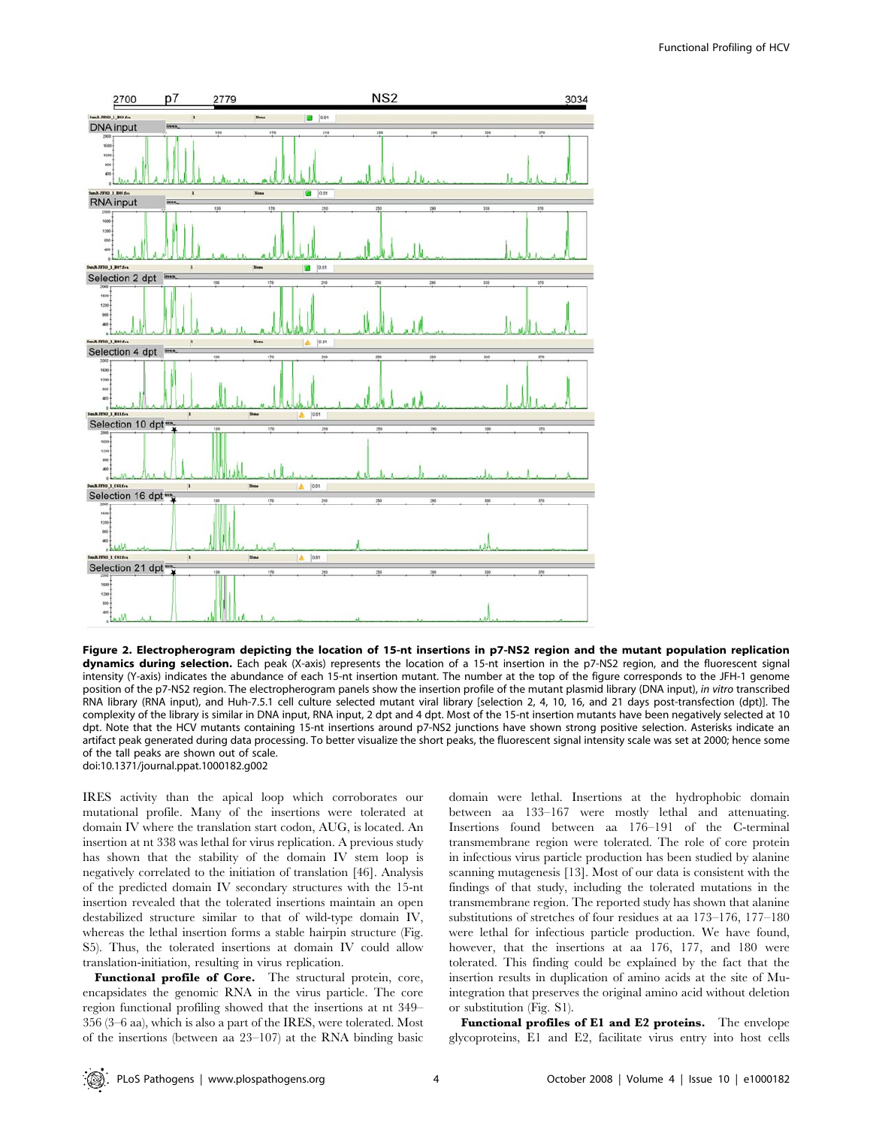

Figure 2. Electropherogram depicting the location of 15-nt insertions in p7-NS2 region and the mutant population replication dynamics during selection. Each peak (X-axis) represents the location of a 15-nt insertion in the p7-NS2 region, and the fluorescent signal intensity (Y-axis) indicates the abundance of each 15-nt insertion mutant. The number at the top of the figure corresponds to the JFH-1 genome position of the p7-NS2 region. The electropherogram panels show the insertion profile of the mutant plasmid library (DNA input), in vitro transcribed RNA library (RNA input), and Huh-7.5.1 cell culture selected mutant viral library [selection 2, 4, 10, 16, and 21 days post-transfection (dpt)]. The complexity of the library is similar in DNA input, RNA input, 2 dpt and 4 dpt. Most of the 15-nt insertion mutants have been negatively selected at 10 dpt. Note that the HCV mutants containing 15-nt insertions around p7-NS2 junctions have shown strong positive selection. Asterisks indicate an artifact peak generated during data processing. To better visualize the short peaks, the fluorescent signal intensity scale was set at 2000; hence some of the tall peaks are shown out of scale. doi:10.1371/journal.ppat.1000182.g002

IRES activity than the apical loop which corroborates our mutational profile. Many of the insertions were tolerated at domain IV where the translation start codon, AUG, is located. An insertion at nt 338 was lethal for virus replication. A previous study has shown that the stability of the domain IV stem loop is negatively correlated to the initiation of translation [46]. Analysis of the predicted domain IV secondary structures with the 15-nt insertion revealed that the tolerated insertions maintain an open destabilized structure similar to that of wild-type domain IV, whereas the lethal insertion forms a stable hairpin structure (Fig. S5). Thus, the tolerated insertions at domain IV could allow translation-initiation, resulting in virus replication.

Functional profile of Core. The structural protein, core, encapsidates the genomic RNA in the virus particle. The core region functional profiling showed that the insertions at nt 349– 356 (3–6 aa), which is also a part of the IRES, were tolerated. Most of the insertions (between aa 23–107) at the RNA binding basic domain were lethal. Insertions at the hydrophobic domain between aa 133–167 were mostly lethal and attenuating. Insertions found between aa 176–191 of the C-terminal transmembrane region were tolerated. The role of core protein in infectious virus particle production has been studied by alanine scanning mutagenesis [13]. Most of our data is consistent with the findings of that study, including the tolerated mutations in the transmembrane region. The reported study has shown that alanine substitutions of stretches of four residues at aa 173–176, 177–180 were lethal for infectious particle production. We have found, however, that the insertions at aa 176, 177, and 180 were tolerated. This finding could be explained by the fact that the insertion results in duplication of amino acids at the site of Muintegration that preserves the original amino acid without deletion or substitution (Fig. S1).

Functional profiles of E1 and E2 proteins. The envelope glycoproteins, E1 and E2, facilitate virus entry into host cells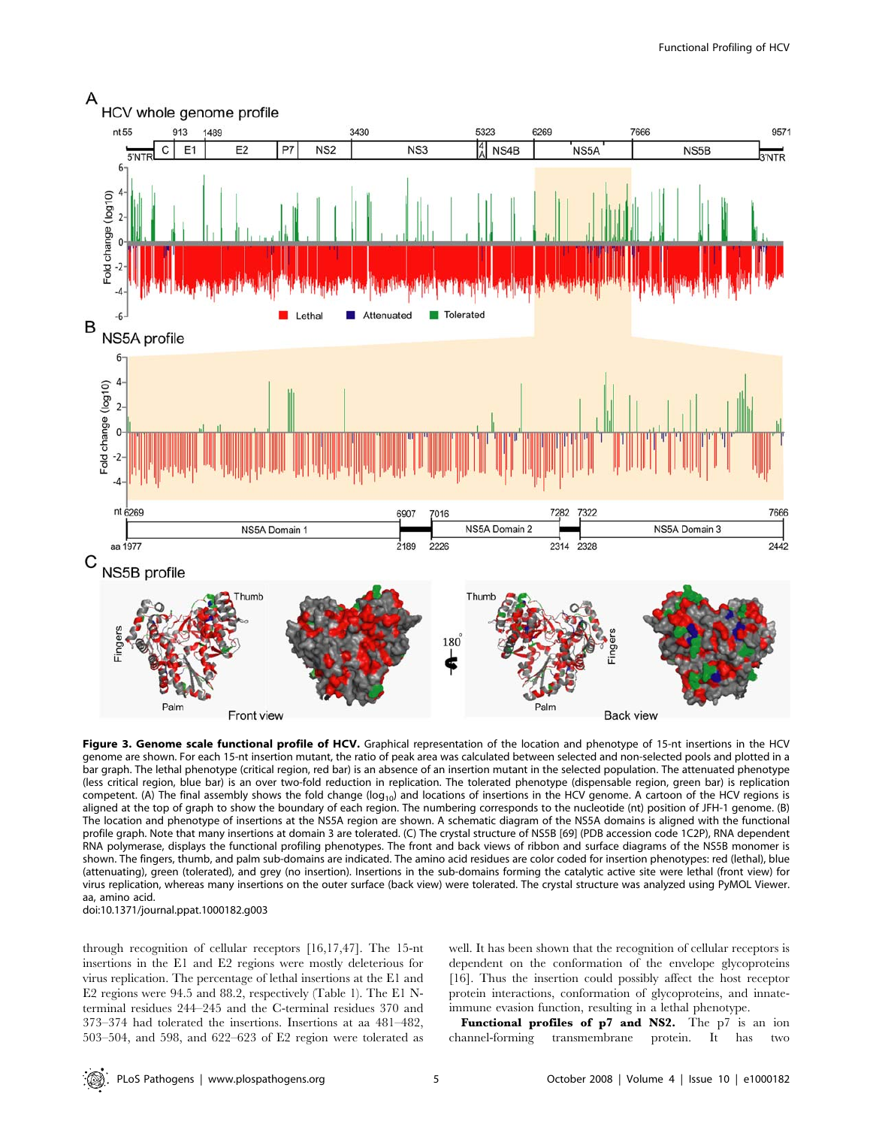

Figure 3. Genome scale functional profile of HCV. Graphical representation of the location and phenotype of 15-nt insertions in the HCV genome are shown. For each 15-nt insertion mutant, the ratio of peak area was calculated between selected and non-selected pools and plotted in a bar graph. The lethal phenotype (critical region, red bar) is an absence of an insertion mutant in the selected population. The attenuated phenotype (less critical region, blue bar) is an over two-fold reduction in replication. The tolerated phenotype (dispensable region, green bar) is replication competent. (A) The final assembly shows the fold change ( $log_{10}$ ) and locations of insertions in the HCV genome. A cartoon of the HCV regions is aligned at the top of graph to show the boundary of each region. The numbering corresponds to the nucleotide (nt) position of JFH-1 genome. (B) The location and phenotype of insertions at the NS5A region are shown. A schematic diagram of the NS5A domains is aligned with the functional profile graph. Note that many insertions at domain 3 are tolerated. (C) The crystal structure of NS5B [69] (PDB accession code 1C2P), RNA dependent RNA polymerase, displays the functional profiling phenotypes. The front and back views of ribbon and surface diagrams of the NS5B monomer is shown. The fingers, thumb, and palm sub-domains are indicated. The amino acid residues are color coded for insertion phenotypes: red (lethal), blue (attenuating), green (tolerated), and grey (no insertion). Insertions in the sub-domains forming the catalytic active site were lethal (front view) for virus replication, whereas many insertions on the outer surface (back view) were tolerated. The crystal structure was analyzed using PyMOL Viewer. aa, amino acid.

doi:10.1371/journal.ppat.1000182.g003

through recognition of cellular receptors [16,17,47]. The 15-nt insertions in the E1 and E2 regions were mostly deleterious for virus replication. The percentage of lethal insertions at the E1 and E2 regions were 94.5 and 88.2, respectively (Table 1). The E1 Nterminal residues 244–245 and the C-terminal residues 370 and 373–374 had tolerated the insertions. Insertions at aa 481–482, 503–504, and 598, and 622–623 of E2 region were tolerated as well. It has been shown that the recognition of cellular receptors is dependent on the conformation of the envelope glycoproteins [16]. Thus the insertion could possibly affect the host receptor protein interactions, conformation of glycoproteins, and innateimmune evasion function, resulting in a lethal phenotype.

Functional profiles of p7 and NS2. The p7 is an ion channel-forming transmembrane protein. It has two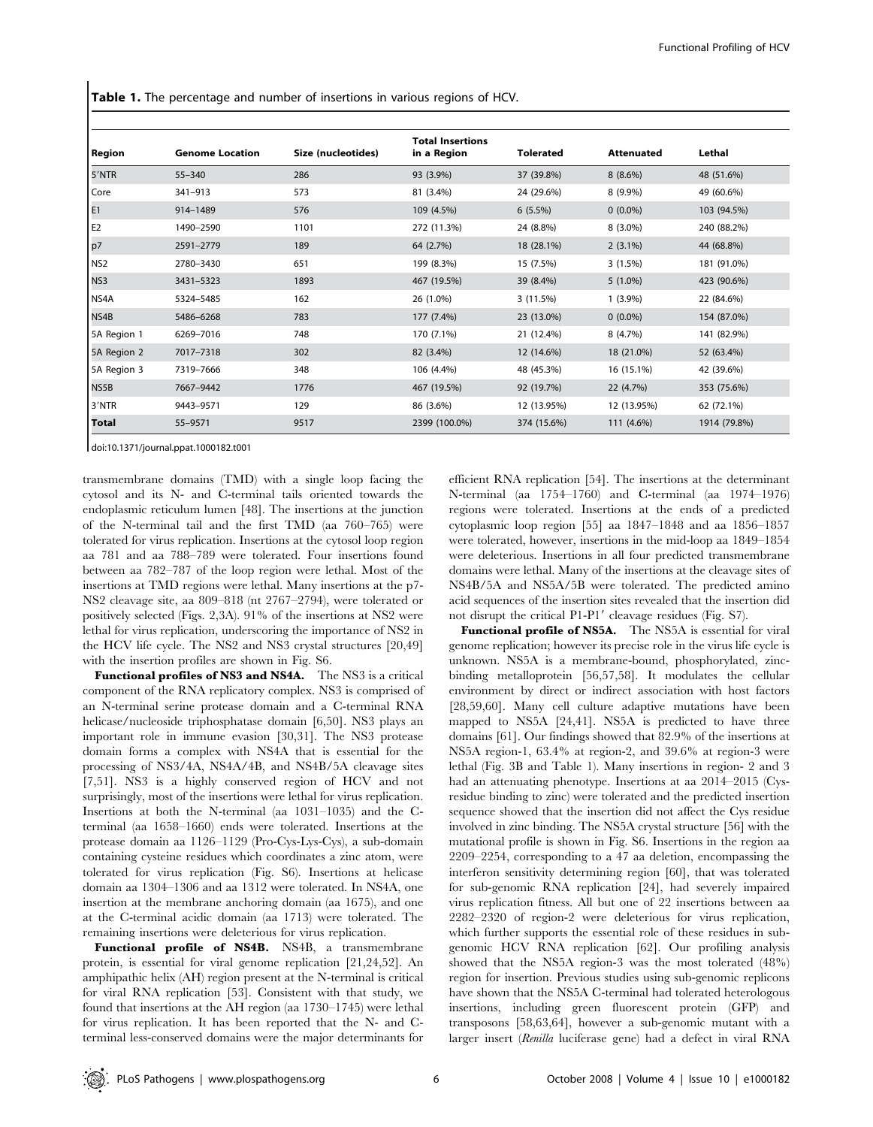Table 1. The percentage and number of insertions in various regions of HCV.

| Region          | <b>Genome Location</b> | Size (nucleotides) | <b>Total Insertions</b><br>in a Region | <b>Tolerated</b> | <b>Attenuated</b> | Lethal       |
|-----------------|------------------------|--------------------|----------------------------------------|------------------|-------------------|--------------|
| 5'NTR           | $55 - 340$             | 286                | 93 (3.9%)                              | 37 (39.8%)       | $8(8.6\%)$        | 48 (51.6%)   |
| Core            | $341 - 913$            | 573                | 81 (3.4%)                              | 24 (29.6%)       | $8(9.9\%)$        | 49 (60.6%)   |
| E <sub>1</sub>  | 914-1489               | 576                | 109 (4.5%)                             | $6(5.5\%)$       | $0(0.0\%)$        | 103 (94.5%)  |
| E <sub>2</sub>  | 1490-2590              | 1101               | 272 (11.3%)                            | 24 (8.8%)        | $8(3.0\%)$        | 240 (88.2%)  |
| p7              | 2591-2779              | 189                | 64 (2.7%)                              | 18 (28.1%)       | $2(3.1\%)$        | 44 (68.8%)   |
| NS <sub>2</sub> | 2780-3430              | 651                | 199 (8.3%)                             | 15 (7.5%)        | $3(1.5\%)$        | 181 (91.0%)  |
| NS3             | 3431-5323              | 1893               | 467 (19.5%)                            | 39 (8.4%)        | $5(1.0\%)$        | 423 (90.6%)  |
| NS4A            | 5324-5485              | 162                | 26 (1.0%)                              | 3 (11.5%)        | $1(3.9\%)$        | 22 (84.6%)   |
| NS4B            | 5486-6268              | 783                | 177 (7.4%)                             | 23 (13.0%)       | $0(0.0\%)$        | 154 (87.0%)  |
| 5A Region 1     | 6269-7016              | 748                | 170 (7.1%)                             | 21 (12.4%)       | 8 (4.7%)          | 141 (82.9%)  |
| 5A Region 2     | 7017-7318              | 302                | 82 (3.4%)                              | 12 (14.6%)       | 18 (21.0%)        | 52 (63.4%)   |
| 5A Region 3     | 7319-7666              | 348                | 106 (4.4%)                             | 48 (45.3%)       | 16 (15.1%)        | 42 (39.6%)   |
| NS5B            | 7667-9442              | 1776               | 467 (19.5%)                            | 92 (19.7%)       | 22 (4.7%)         | 353 (75.6%)  |
| 3'NTR           | 9443-9571              | 129                | 86 (3.6%)                              | 12 (13.95%)      | 12 (13.95%)       | 62 (72.1%)   |
| <b>Total</b>    | 55-9571                | 9517               | 2399 (100.0%)                          | 374 (15.6%)      | 111 (4.6%)        | 1914 (79.8%) |

doi:10.1371/journal.ppat.1000182.t001

transmembrane domains (TMD) with a single loop facing the cytosol and its N- and C-terminal tails oriented towards the endoplasmic reticulum lumen [48]. The insertions at the junction of the N-terminal tail and the first TMD (aa 760–765) were tolerated for virus replication. Insertions at the cytosol loop region aa 781 and aa 788–789 were tolerated. Four insertions found between aa 782–787 of the loop region were lethal. Most of the insertions at TMD regions were lethal. Many insertions at the p7- NS2 cleavage site, aa 809–818 (nt 2767–2794), were tolerated or positively selected (Figs. 2,3A). 91% of the insertions at NS2 were lethal for virus replication, underscoring the importance of NS2 in the HCV life cycle. The NS2 and NS3 crystal structures [20,49] with the insertion profiles are shown in Fig. S6.

Functional profiles of NS3 and NS4A. The NS3 is a critical component of the RNA replicatory complex. NS3 is comprised of an N-terminal serine protease domain and a C-terminal RNA helicase/nucleoside triphosphatase domain [6,50]. NS3 plays an important role in immune evasion [30,31]. The NS3 protease domain forms a complex with NS4A that is essential for the processing of NS3/4A, NS4A/4B, and NS4B/5A cleavage sites [7,51]. NS3 is a highly conserved region of HCV and not surprisingly, most of the insertions were lethal for virus replication. Insertions at both the N-terminal (aa 1031–1035) and the Cterminal (aa 1658–1660) ends were tolerated. Insertions at the protease domain aa 1126–1129 (Pro-Cys-Lys-Cys), a sub-domain containing cysteine residues which coordinates a zinc atom, were tolerated for virus replication (Fig. S6). Insertions at helicase domain aa 1304–1306 and aa 1312 were tolerated. In NS4A, one insertion at the membrane anchoring domain (aa 1675), and one at the C-terminal acidic domain (aa 1713) were tolerated. The remaining insertions were deleterious for virus replication.

Functional profile of NS4B. NS4B, a transmembrane protein, is essential for viral genome replication [21,24,52]. An amphipathic helix (AH) region present at the N-terminal is critical for viral RNA replication [53]. Consistent with that study, we found that insertions at the AH region (aa 1730–1745) were lethal for virus replication. It has been reported that the N- and Cterminal less-conserved domains were the major determinants for efficient RNA replication [54]. The insertions at the determinant N-terminal (aa 1754–1760) and C-terminal (aa 1974–1976) regions were tolerated. Insertions at the ends of a predicted cytoplasmic loop region [55] aa 1847–1848 and aa 1856–1857 were tolerated, however, insertions in the mid-loop aa 1849–1854 were deleterious. Insertions in all four predicted transmembrane domains were lethal. Many of the insertions at the cleavage sites of NS4B/5A and NS5A/5B were tolerated. The predicted amino acid sequences of the insertion sites revealed that the insertion did not disrupt the critical P1-P1' cleavage residues (Fig. S7).

Functional profile of NS5A. The NS5A is essential for viral genome replication; however its precise role in the virus life cycle is unknown. NS5A is a membrane-bound, phosphorylated, zincbinding metalloprotein [56,57,58]. It modulates the cellular environment by direct or indirect association with host factors [28,59,60]. Many cell culture adaptive mutations have been mapped to NS5A [24,41]. NS5A is predicted to have three domains [61]. Our findings showed that 82.9% of the insertions at NS5A region-1, 63.4% at region-2, and 39.6% at region-3 were lethal (Fig. 3B and Table 1). Many insertions in region- 2 and 3 had an attenuating phenotype. Insertions at aa 2014–2015 (Cysresidue binding to zinc) were tolerated and the predicted insertion sequence showed that the insertion did not affect the Cys residue involved in zinc binding. The NS5A crystal structure [56] with the mutational profile is shown in Fig. S6. Insertions in the region aa 2209–2254, corresponding to a 47 aa deletion, encompassing the interferon sensitivity determining region [60], that was tolerated for sub-genomic RNA replication [24], had severely impaired virus replication fitness. All but one of 22 insertions between aa 2282–2320 of region-2 were deleterious for virus replication, which further supports the essential role of these residues in subgenomic HCV RNA replication [62]. Our profiling analysis showed that the NS5A region-3 was the most tolerated (48%) region for insertion. Previous studies using sub-genomic replicons have shown that the NS5A C-terminal had tolerated heterologous insertions, including green fluorescent protein (GFP) and transposons [58,63,64], however a sub-genomic mutant with a larger insert (Renilla luciferase gene) had a defect in viral RNA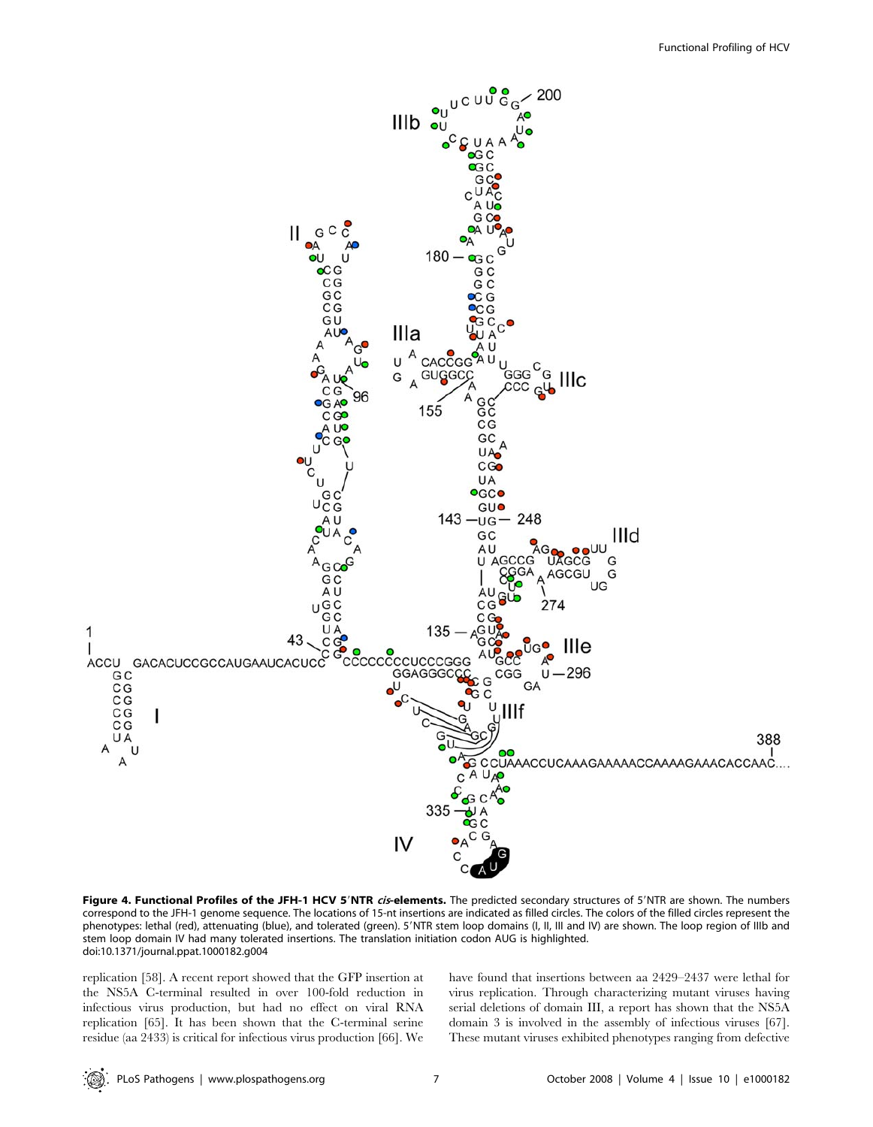

Figure 4. Functional Profiles of the JFH-1 HCV 5'NTR cis-elements. The predicted secondary structures of 5'NTR are shown. The numbers correspond to the JFH-1 genome sequence. The locations of 15-nt insertions are indicated as filled circles. The colors of the filled circles represent the phenotypes: lethal (red), attenuating (blue), and tolerated (green). 5'NTR stem loop domains (I, II, III and IV) are shown. The loop region of IIIb and stem loop domain IV had many tolerated insertions. The translation initiation codon AUG is highlighted. doi:10.1371/journal.ppat.1000182.g004

replication [58]. A recent report showed that the GFP insertion at the NS5A C-terminal resulted in over 100-fold reduction in infectious virus production, but had no effect on viral RNA replication [65]. It has been shown that the C-terminal serine residue (aa 2433) is critical for infectious virus production [66]. We have found that insertions between aa 2429–2437 were lethal for virus replication. Through characterizing mutant viruses having serial deletions of domain III, a report has shown that the NS5A domain 3 is involved in the assembly of infectious viruses [67]. These mutant viruses exhibited phenotypes ranging from defective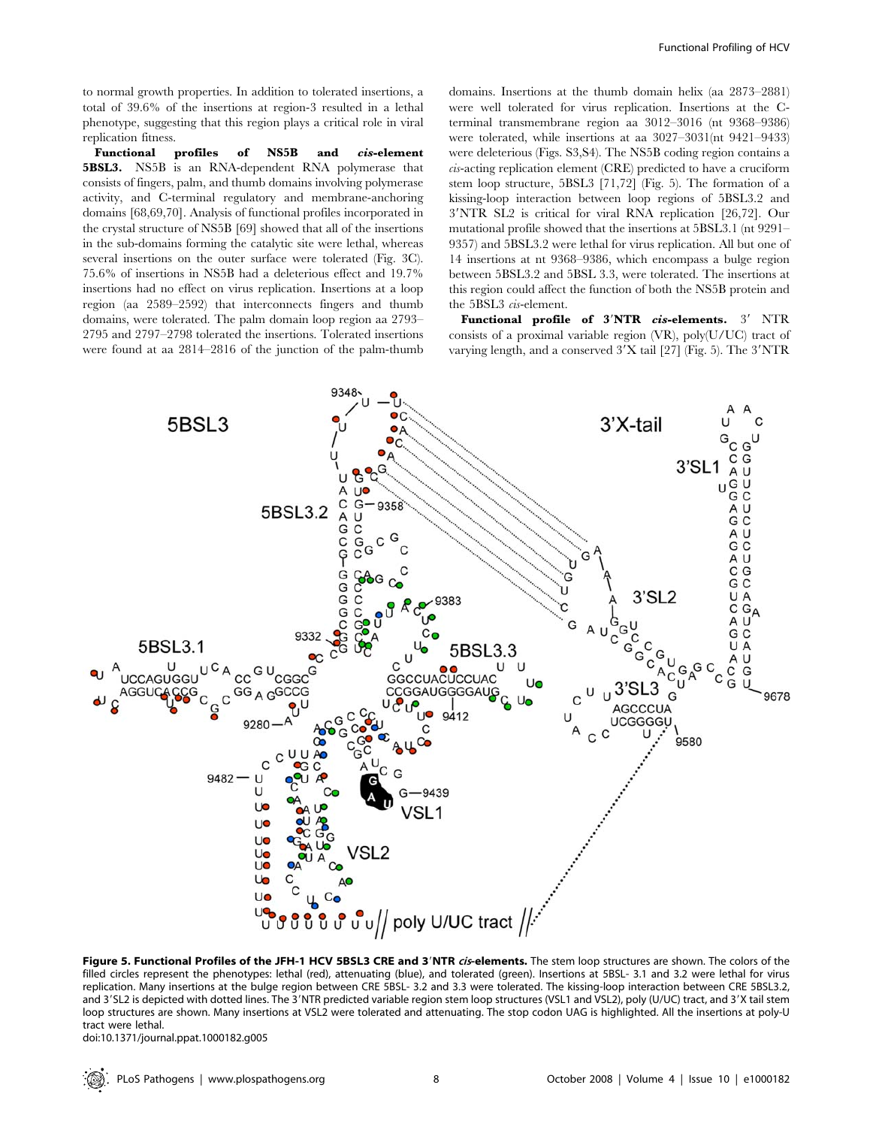to normal growth properties. In addition to tolerated insertions, a total of 39.6% of the insertions at region-3 resulted in a lethal phenotype, suggesting that this region plays a critical role in viral replication fitness.

Functional profiles of NS5B and cis-element 5BSL3. NS5B is an RNA-dependent RNA polymerase that consists of fingers, palm, and thumb domains involving polymerase activity, and C-terminal regulatory and membrane-anchoring domains [68,69,70]. Analysis of functional profiles incorporated in the crystal structure of NS5B [69] showed that all of the insertions in the sub-domains forming the catalytic site were lethal, whereas several insertions on the outer surface were tolerated (Fig. 3C). 75.6% of insertions in NS5B had a deleterious effect and 19.7% insertions had no effect on virus replication. Insertions at a loop region (aa 2589–2592) that interconnects fingers and thumb domains, were tolerated. The palm domain loop region aa 2793– 2795 and 2797–2798 tolerated the insertions. Tolerated insertions were found at aa 2814–2816 of the junction of the palm-thumb domains. Insertions at the thumb domain helix (aa 2873–2881) were well tolerated for virus replication. Insertions at the Cterminal transmembrane region aa 3012–3016 (nt 9368–9386) were tolerated, while insertions at aa 3027–3031(nt 9421–9433) were deleterious (Figs. S3,S4). The NS5B coding region contains a cis-acting replication element (CRE) predicted to have a cruciform stem loop structure, 5BSL3 [71,72] (Fig. 5). The formation of a kissing-loop interaction between loop regions of 5BSL3.2 and 3'NTR SL2 is critical for viral RNA replication [26,72]. Our mutational profile showed that the insertions at 5BSL3.1 (nt 9291– 9357) and 5BSL3.2 were lethal for virus replication. All but one of 14 insertions at nt 9368–9386, which encompass a bulge region between 5BSL3.2 and 5BSL 3.3, were tolerated. The insertions at this region could affect the function of both the NS5B protein and the 5BSL3 cis-element.

Functional profile of  $3'NTR$  cis-elements.  $3'NTR$ consists of a proximal variable region (VR), poly(U/UC) tract of varying length, and a conserved  $3'X$  tail [27] (Fig. 5). The  $3'NTR$ 



Figure 5. Functional Profiles of the JFH-1 HCV 5BSL3 CRE and 3'NTR cis-elements. The stem loop structures are shown. The colors of the filled circles represent the phenotypes: lethal (red), attenuating (blue), and tolerated (green). Insertions at 5BSL- 3.1 and 3.2 were lethal for virus replication. Many insertions at the bulge region between CRE 5BSL- 3.2 and 3.3 were tolerated. The kissing-loop interaction between CRE 5BSL3.2, and 3'SL2 is depicted with dotted lines. The 3'NTR predicted variable region stem loop structures (VSL1 and VSL2), poly (U/UC) tract, and 3'X tail stem loop structures are shown. Many insertions at VSL2 were tolerated and attenuating. The stop codon UAG is highlighted. All the insertions at poly-U tract were lethal.

doi:10.1371/journal.ppat.1000182.g005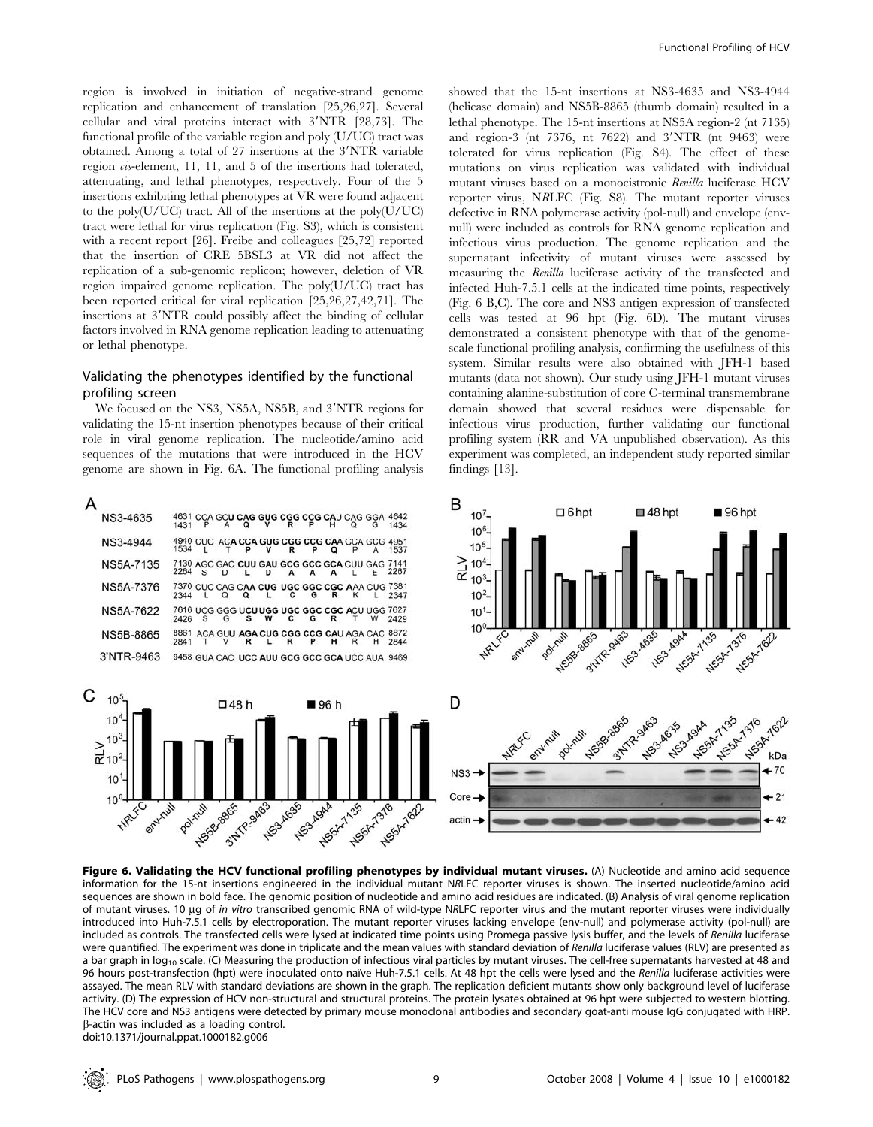region is involved in initiation of negative-strand genome replication and enhancement of translation [25,26,27]. Several cellular and viral proteins interact with  $3'NTR$  [28,73]. The functional profile of the variable region and poly (U/UC) tract was obtained. Among a total of 27 insertions at the 3'NTR variable region cis-element, 11, 11, and 5 of the insertions had tolerated, attenuating, and lethal phenotypes, respectively. Four of the 5 insertions exhibiting lethal phenotypes at VR were found adjacent to the poly(U/UC) tract. All of the insertions at the poly(U/UC) tract were lethal for virus replication (Fig. S3), which is consistent with a recent report [26]. Freibe and colleagues [25,72] reported that the insertion of CRE 5BSL3 at VR did not affect the replication of a sub-genomic replicon; however, deletion of VR region impaired genome replication. The poly(U/UC) tract has been reported critical for viral replication [25,26,27,42,71]. The insertions at 3'NTR could possibly affect the binding of cellular factors involved in RNA genome replication leading to attenuating or lethal phenotype.

## Validating the phenotypes identified by the functional profiling screen

We focused on the NS3, NS5A, NS5B, and 3'NTR regions for validating the 15-nt insertion phenotypes because of their critical role in viral genome replication. The nucleotide/amino acid sequences of the mutations that were introduced in the HCV genome are shown in Fig. 6A. The functional profiling analysis

| NS3-4635         | 4631<br>1431 |                                               |                                     | Ω | ν |   |   | н | O | CCA GCU CAG GUG CGG CCG CAU CAG GGA<br>G               | 4642<br>1434 |
|------------------|--------------|-----------------------------------------------|-------------------------------------|---|---|---|---|---|---|--------------------------------------------------------|--------------|
| NS3-4944         | 1534         | 4940 CUC ACA CCA GUG CGG CCG CAA CCA GCG      |                                     |   | ν |   |   |   | P |                                                        | 4951<br>1537 |
| <b>NS5A-7135</b> | 2264         | 7130 AGC GAC CUU GAU GCG GCC GCA CUU GAG<br>S |                                     |   | n |   |   |   |   |                                                        | 7141<br>2267 |
| <b>NS5A-7376</b> | 2344         |                                               |                                     | Ω |   |   | G | R | к | 7370 CUC CAG C <b>AA CUG UGC GGC CGC A</b> AA CUG      | 7381<br>2347 |
| <b>NS5A-7622</b> | 2426         | s                                             | G                                   | s | w |   | G | R |   | 7616 UCG GGG U <b>CU UGG UGC GGC CGC A</b> CU UGG<br>w | 7627<br>2429 |
| <b>NS5B-8865</b> | 8861<br>2841 |                                               | ACA GUU AGA CUG CGG CCG CAU AGA CAC | R |   | R |   | н | R |                                                        | 8872<br>2844 |
| 3'NTR-9463       |              |                                               |                                     |   |   |   |   |   |   | 9458 GUA CAC UCC AUU GCG GCC GCA UCC AUA               | 9469         |



showed that the 15-nt insertions at NS3-4635 and NS3-4944 (helicase domain) and NS5B-8865 (thumb domain) resulted in a lethal phenotype. The 15-nt insertions at NS5A region-2 (nt 7135) and region-3 (nt 7376, nt 7622) and  $3'NTR$  (nt 9463) were tolerated for virus replication (Fig. S4). The effect of these mutations on virus replication was validated with individual mutant viruses based on a monocistronic Renilla luciferase HCV reporter virus, NRLFC (Fig. S8). The mutant reporter viruses defective in RNA polymerase activity (pol-null) and envelope (envnull) were included as controls for RNA genome replication and infectious virus production. The genome replication and the supernatant infectivity of mutant viruses were assessed by measuring the Renilla luciferase activity of the transfected and infected Huh-7.5.1 cells at the indicated time points, respectively (Fig. 6 B,C). The core and NS3 antigen expression of transfected cells was tested at 96 hpt (Fig. 6D). The mutant viruses demonstrated a consistent phenotype with that of the genomescale functional profiling analysis, confirming the usefulness of this system. Similar results were also obtained with JFH-1 based mutants (data not shown). Our study using JFH-1 mutant viruses containing alanine-substitution of core C-terminal transmembrane domain showed that several residues were dispensable for infectious virus production, further validating our functional profiling system (RR and VA unpublished observation). As this experiment was completed, an independent study reported similar findings [13].



Figure 6. Validating the HCV functional profiling phenotypes by individual mutant viruses. (A) Nucleotide and amino acid sequence information for the 15-nt insertions engineered in the individual mutant NRLFC reporter viruses is shown. The inserted nucleotide/amino acid sequences are shown in bold face. The genomic position of nucleotide and amino acid residues are indicated. (B) Analysis of viral genome replication of mutant viruses. 10 µg of in vitro transcribed genomic RNA of wild-type NRLFC reporter virus and the mutant reporter viruses were individually introduced into Huh-7.5.1 cells by electroporation. The mutant reporter viruses lacking envelope (env-null) and polymerase activity (pol-null) are included as controls. The transfected cells were lysed at indicated time points using Promega passive lysis buffer, and the levels of Renilla luciferase were quantified. The experiment was done in triplicate and the mean values with standard deviation of Renilla luciferase values (RLV) are presented as a bar graph in log<sub>10</sub> scale. (C) Measuring the production of infectious viral particles by mutant viruses. The cell-free supernatants harvested at 48 and 96 hours post-transfection (hpt) were inoculated onto naıve Huh-7.5.1 cells. At 48 hpt the cells were lysed and the Renilla luciferase activities were assayed. The mean RLV with standard deviations are shown in the graph. The replication deficient mutants show only background level of luciferase activity. (D) The expression of HCV non-structural and structural proteins. The protein lysates obtained at 96 hpt were subjected to western blotting. The HCV core and NS3 antigens were detected by primary mouse monoclonal antibodies and secondary goat-anti mouse IgG conjugated with HRP. b-actin was included as a loading control.

doi:10.1371/journal.ppat.1000182.g006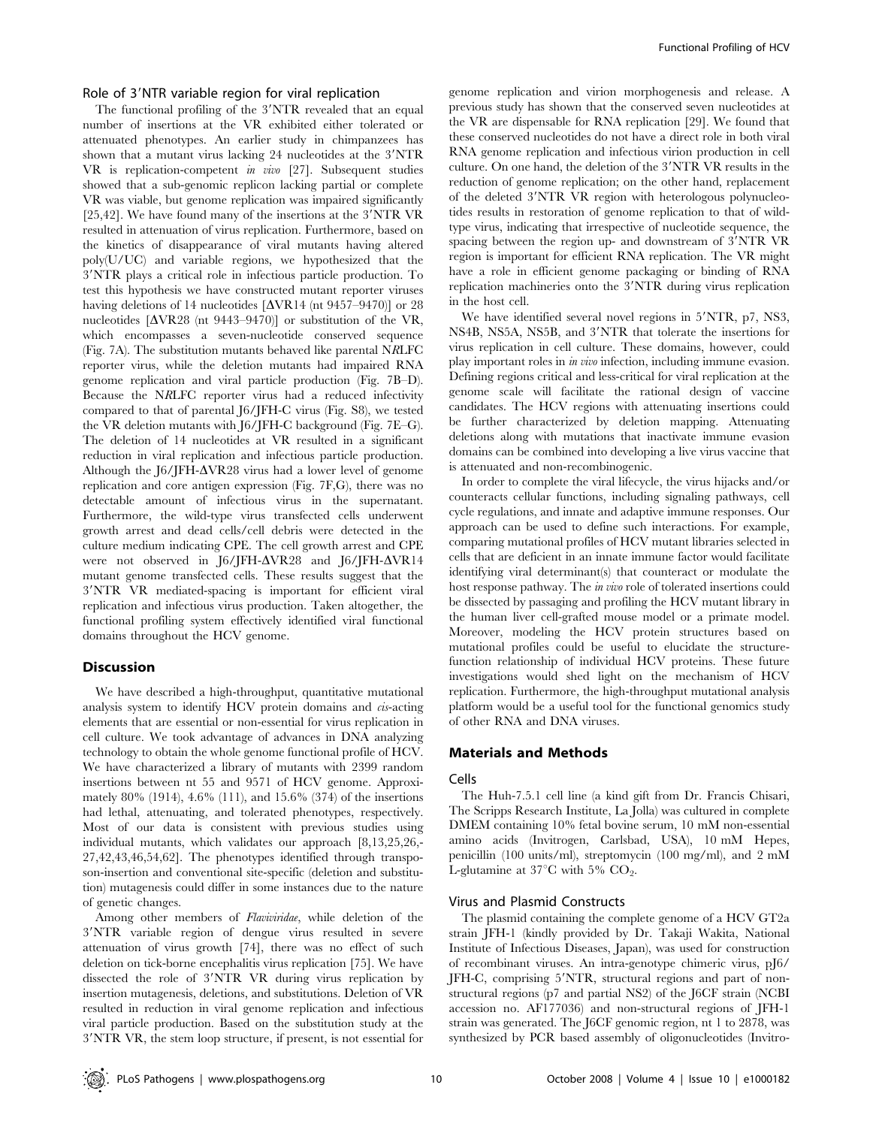#### Role of 3'NTR variable region for viral replication

The functional profiling of the 3'NTR revealed that an equal number of insertions at the VR exhibited either tolerated or attenuated phenotypes. An earlier study in chimpanzees has shown that a mutant virus lacking 24 nucleotides at the 3'NTR VR is replication-competent in vivo [27]. Subsequent studies showed that a sub-genomic replicon lacking partial or complete VR was viable, but genome replication was impaired significantly  $[25,42]$ . We have found many of the insertions at the 3'NTR VR resulted in attenuation of virus replication. Furthermore, based on the kinetics of disappearance of viral mutants having altered poly(U/UC) and variable regions, we hypothesized that the 39NTR plays a critical role in infectious particle production. To test this hypothesis we have constructed mutant reporter viruses having deletions of 14 nucleotides  $[\Delta \text{VR14}$  (nt 9457–9470)] or 28 nucleotides  $[\Delta \text{VR}28 \text{ (nt 9443–9470)}]$  or substitution of the VR, which encompasses a seven-nucleotide conserved sequence (Fig. 7A). The substitution mutants behaved like parental NRLFC reporter virus, while the deletion mutants had impaired RNA genome replication and viral particle production (Fig. 7B–D). Because the NRLFC reporter virus had a reduced infectivity compared to that of parental J6/JFH-C virus (Fig. S8), we tested the VR deletion mutants with J6/JFH-C background (Fig. 7E–G). The deletion of 14 nucleotides at VR resulted in a significant reduction in viral replication and infectious particle production. Although the J6/JFH- $\Delta$ VR28 virus had a lower level of genome replication and core antigen expression (Fig. 7F,G), there was no detectable amount of infectious virus in the supernatant. Furthermore, the wild-type virus transfected cells underwent growth arrest and dead cells/cell debris were detected in the culture medium indicating CPE. The cell growth arrest and CPE were not observed in J6/JFH- $\Delta$ VR28 and J6/JFH- $\Delta$ VR14 mutant genome transfected cells. These results suggest that the 3'NTR VR mediated-spacing is important for efficient viral replication and infectious virus production. Taken altogether, the functional profiling system effectively identified viral functional domains throughout the HCV genome.

#### Discussion

We have described a high-throughput, quantitative mutational analysis system to identify HCV protein domains and cis-acting elements that are essential or non-essential for virus replication in cell culture. We took advantage of advances in DNA analyzing technology to obtain the whole genome functional profile of HCV. We have characterized a library of mutants with 2399 random insertions between nt 55 and 9571 of HCV genome. Approximately 80% (1914), 4.6% (111), and 15.6% (374) of the insertions had lethal, attenuating, and tolerated phenotypes, respectively. Most of our data is consistent with previous studies using individual mutants, which validates our approach [8,13,25,26,- 27,42,43,46,54,62]. The phenotypes identified through transposon-insertion and conventional site-specific (deletion and substitution) mutagenesis could differ in some instances due to the nature of genetic changes.

Among other members of Flaviviridae, while deletion of the 3'NTR variable region of dengue virus resulted in severe attenuation of virus growth [74], there was no effect of such deletion on tick-borne encephalitis virus replication [75]. We have dissected the role of 3'NTR VR during virus replication by insertion mutagenesis, deletions, and substitutions. Deletion of VR resulted in reduction in viral genome replication and infectious viral particle production. Based on the substitution study at the 3'NTR VR, the stem loop structure, if present, is not essential for

genome replication and virion morphogenesis and release. A previous study has shown that the conserved seven nucleotides at the VR are dispensable for RNA replication [29]. We found that these conserved nucleotides do not have a direct role in both viral RNA genome replication and infectious virion production in cell culture. On one hand, the deletion of the 3'NTR VR results in the reduction of genome replication; on the other hand, replacement of the deleted 3'NTR VR region with heterologous polynucleotides results in restoration of genome replication to that of wildtype virus, indicating that irrespective of nucleotide sequence, the spacing between the region up- and downstream of 3'NTR VR region is important for efficient RNA replication. The VR might have a role in efficient genome packaging or binding of RNA replication machineries onto the 3'NTR during virus replication in the host cell.

We have identified several novel regions in 5'NTR, p7, NS3, NS4B, NS5A, NS5B, and 3'NTR that tolerate the insertions for virus replication in cell culture. These domains, however, could play important roles in in vivo infection, including immune evasion. Defining regions critical and less-critical for viral replication at the genome scale will facilitate the rational design of vaccine candidates. The HCV regions with attenuating insertions could be further characterized by deletion mapping. Attenuating deletions along with mutations that inactivate immune evasion domains can be combined into developing a live virus vaccine that is attenuated and non-recombinogenic.

In order to complete the viral lifecycle, the virus hijacks and/or counteracts cellular functions, including signaling pathways, cell cycle regulations, and innate and adaptive immune responses. Our approach can be used to define such interactions. For example, comparing mutational profiles of HCV mutant libraries selected in cells that are deficient in an innate immune factor would facilitate identifying viral determinant(s) that counteract or modulate the host response pathway. The *in vivo* role of tolerated insertions could be dissected by passaging and profiling the HCV mutant library in the human liver cell-grafted mouse model or a primate model. Moreover, modeling the HCV protein structures based on mutational profiles could be useful to elucidate the structurefunction relationship of individual HCV proteins. These future investigations would shed light on the mechanism of HCV replication. Furthermore, the high-throughput mutational analysis platform would be a useful tool for the functional genomics study of other RNA and DNA viruses.

#### Materials and Methods

#### Cells

The Huh-7.5.1 cell line (a kind gift from Dr. Francis Chisari, The Scripps Research Institute, La Jolla) was cultured in complete DMEM containing 10% fetal bovine serum, 10 mM non-essential amino acids (Invitrogen, Carlsbad, USA), 10 mM Hepes, penicillin (100 units/ml), streptomycin (100 mg/ml), and 2 mM L-glutamine at  $37^{\circ}$ C with 5% CO<sub>2</sub>.

## Virus and Plasmid Constructs

The plasmid containing the complete genome of a HCV GT2a strain JFH-1 (kindly provided by Dr. Takaji Wakita, National Institute of Infectious Diseases, Japan), was used for construction of recombinant viruses. An intra-genotype chimeric virus, pJ6/ JFH-C, comprising 5'NTR, structural regions and part of nonstructural regions (p7 and partial NS2) of the J6CF strain (NCBI accession no. AF177036) and non-structural regions of JFH-1 strain was generated. The J6CF genomic region, nt 1 to 2878, was synthesized by PCR based assembly of oligonucleotides (Invitro-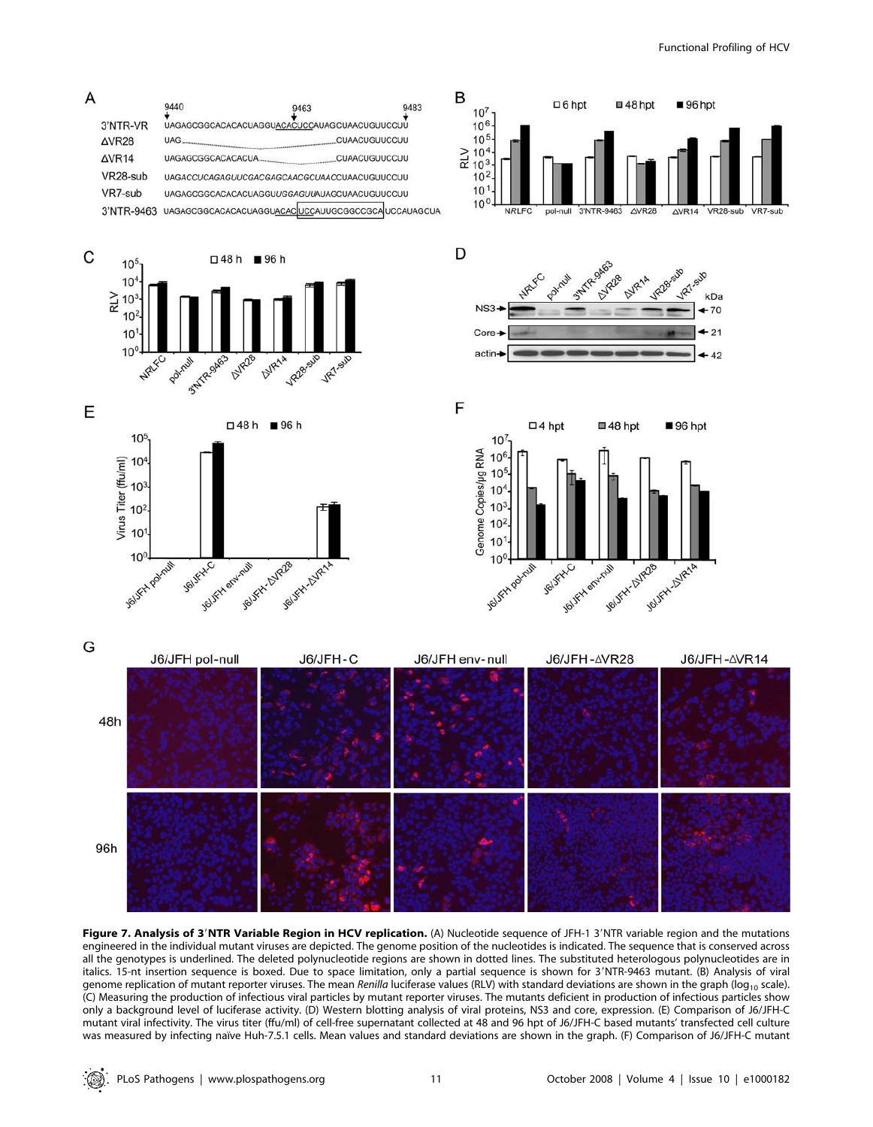

Figure 7. Analysis of 3'NTR Variable Region in HCV replication. (A) Nucleotide sequence of JFH-1 3'NTR variable region and the mutations engineered in the individual mutant viruses are depicted. The genome position of the nucleotides is indicated. The sequence that is conserved across all the genotypes is underlined. The deleted polynucleotide regions are shown in dotted lines. The substituted heterologous polynucleotides are in italics. 15-nt insertion sequence is boxed. Due to space limitation, only a partial sequence is shown for 3'NTR-9463 mutant. (B) Analysis of viral genome replication of mutant reporter viruses. The mean Renilla luciferase values (RLV) with standard deviations are shown in the graph (log<sub>10</sub> scale). (C) Measuring the production of infectious viral particles by mutant reporter viruses. The mutants deficient in production of infectious particles show only a background level of luciferase activity. (D) Western blotting analysis of viral proteins, NS3 and core, expression. (E) Comparison of J6/JFH-C mutant viral infectivity. The virus titer (ffu/ml) of cell-free supernatant collected at 48 and 96 hpt of J6/JFH-C based mutants' transfected cell culture was measured by infecting naïve Huh-7.5.1 cells. Mean values and standard deviations are shown in the graph. (F) Comparison of J6/JFH-C mutant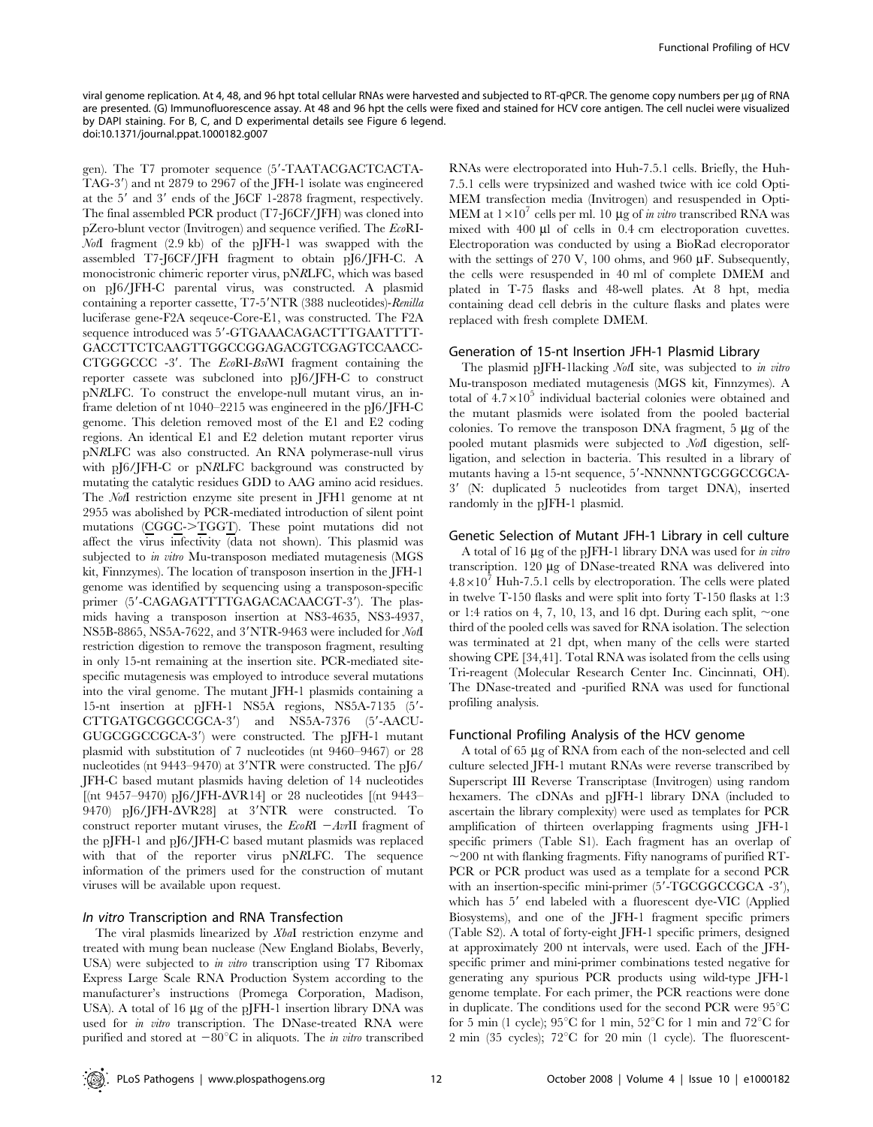viral genome replication. At 4, 48, and 96 hpt total cellular RNAs were harvested and subjected to RT-qPCR. The genome copy numbers per µg of RNA are presented. (G) Immunofluorescence assay. At 48 and 96 hpt the cells were fixed and stained for HCV core antigen. The cell nuclei were visualized by DAPI staining. For B, C, and D experimental details see Figure 6 legend. doi:10.1371/journal.ppat.1000182.g007

gen). The T7 promoter sequence (5'-TAATACGACTCACTA-TAG-3') and nt 2879 to 2967 of the JFH-1 isolate was engineered at the  $5'$  and  $3'$  ends of the J6CF 1-2878 fragment, respectively. The final assembled PCR product (T7-J6CF/JFH) was cloned into pZero-blunt vector (Invitrogen) and sequence verified. The EcoRI-NotI fragment (2.9 kb) of the pJFH-1 was swapped with the assembled T7-J6CF/JFH fragment to obtain pJ6/JFH-C. A monocistronic chimeric reporter virus, pNRLFC, which was based on pJ6/JFH-C parental virus, was constructed. A plasmid containing a reporter cassette, T7-5'NTR (388 nucleotides)-Renilla luciferase gene-F2A seqeuce-Core-E1, was constructed. The F2A sequence introduced was 5'-GTGAAACAGACTTTGAATTTT-GACCTTCTCAAGTTGGCCGGAGACGTCGAGTCCAACC- $CTGGGCCC 3'$ . The  $EcoRI-BsiWI$  fragment containing the reporter cassete was subcloned into pJ6/JFH-C to construct pNRLFC. To construct the envelope-null mutant virus, an inframe deletion of nt 1040–2215 was engineered in the pJ6/JFH-C genome. This deletion removed most of the E1 and E2 coding regions. An identical E1 and E2 deletion mutant reporter virus pNRLFC was also constructed. An RNA polymerase-null virus with pJ6/JFH-C or pNRLFC background was constructed by mutating the catalytic residues GDD to AAG amino acid residues. The NotI restriction enzyme site present in JFH1 genome at nt 2955 was abolished by PCR-mediated introduction of silent point mutations  $(CGGC\rightarrow TGGT)$ . These point mutations did not affect the virus infectivity (data not shown). This plasmid was subjected to in vitro Mu-transposon mediated mutagenesis (MGS kit, Finnzymes). The location of transposon insertion in the JFH-1 genome was identified by sequencing using a transposon-specific primer (5'-CAGAGATTTTGAGACACAACGT-3'). The plasmids having a transposon insertion at NS3-4635, NS3-4937, NS5B-8865, NS5A-7622, and 3'NTR-9463 were included for NotI restriction digestion to remove the transposon fragment, resulting in only 15-nt remaining at the insertion site. PCR-mediated sitespecific mutagenesis was employed to introduce several mutations into the viral genome. The mutant JFH-1 plasmids containing a 15-nt insertion at pJFH-1 NS5A regions, NS5A-7135 (5'-CTTGATGCGGCCGCA-3') and NS5A-7376 (5'-AACU-GUGCGGCCGCA-3') were constructed. The pJFH-1 mutant plasmid with substitution of 7 nucleotides (nt 9460–9467) or 28 nucleotides (nt  $9443-9470$ ) at  $3'NTR$  were constructed. The pJ6/ JFH-C based mutant plasmids having deletion of 14 nucleotides  $[(nt 9457-9470) p[6/IFH-\Delta VR14]$  or 28 nucleotides  $[(nt 9443-$ 9470) pJ6/JFH- $\Delta$ VR28] at 3'NTR were constructed. To construct reporter mutant viruses, the  $E \circ RI - AvrII$  fragment of the pJFH-1 and pJ6/JFH-C based mutant plasmids was replaced with that of the reporter virus pNRLFC. The sequence information of the primers used for the construction of mutant viruses will be available upon request.

## In vitro Transcription and RNA Transfection

The viral plasmids linearized by XbaI restriction enzyme and treated with mung bean nuclease (New England Biolabs, Beverly, USA) were subjected to *in vitro* transcription using T7 Ribomax Express Large Scale RNA Production System according to the manufacturer's instructions (Promega Corporation, Madison, USA). A total of 16  $\mu$ g of the pJFH-1 insertion library DNA was used for *in vitro* transcription. The DNase-treated RNA were purified and stored at  $-80^{\circ}\text{C}$  in aliquots. The *in vitro* transcribed

RNAs were electroporated into Huh-7.5.1 cells. Briefly, the Huh-7.5.1 cells were trypsinized and washed twice with ice cold Opti-MEM transfection media (Invitrogen) and resuspended in Opti-MEM at  $1\times10^{7}$  cells per ml. 10  $\mu$ g of *in vitro* transcribed RNA was mixed with 400 µl of cells in 0.4 cm electroporation cuvettes. Electroporation was conducted by using a BioRad elecroporator with the settings of 270 V, 100 ohms, and 960  $\mu$ F. Subsequently, the cells were resuspended in 40 ml of complete DMEM and plated in T-75 flasks and 48-well plates. At 8 hpt, media containing dead cell debris in the culture flasks and plates were replaced with fresh complete DMEM.

#### Generation of 15-nt Insertion JFH-1 Plasmid Library

The plasmid pJFH-1lacking NotI site, was subjected to in vitro Mu-transposon mediated mutagenesis (MGS kit, Finnzymes). A total of  $4.7\times10^5$  individual bacterial colonies were obtained and the mutant plasmids were isolated from the pooled bacterial colonies. To remove the transposon DNA fragment,  $5 \mu$ g of the pooled mutant plasmids were subjected to NotI digestion, selfligation, and selection in bacteria. This resulted in a library of mutants having a 15-nt sequence, 5'-NNNNNTGCGGCCGCA-3' (N: duplicated 5 nucleotides from target DNA), inserted randomly in the pJFH-1 plasmid.

#### Genetic Selection of Mutant JFH-1 Library in cell culture

A total of 16  $\mu$ g of the pJFH-1 library DNA was used for in vitro transcription. 120 µg of DNase-treated RNA was delivered into  $4.8\times10^{7}$  Huh-7.5.1 cells by electroporation. The cells were plated in twelve T-150 flasks and were split into forty T-150 flasks at 1:3 or 1:4 ratios on 4, 7, 10, 13, and 16 dpt. During each split,  $\sim$ one third of the pooled cells was saved for RNA isolation. The selection was terminated at 21 dpt, when many of the cells were started showing CPE [34,41]. Total RNA was isolated from the cells using Tri-reagent (Molecular Research Center Inc. Cincinnati, OH). The DNase-treated and -purified RNA was used for functional profiling analysis.

## Functional Profiling Analysis of the HCV genome

A total of 65 µg of RNA from each of the non-selected and cell culture selected JFH-1 mutant RNAs were reverse transcribed by Superscript III Reverse Transcriptase (Invitrogen) using random hexamers. The cDNAs and pJFH-1 library DNA (included to ascertain the library complexity) were used as templates for PCR amplification of thirteen overlapping fragments using JFH-1 specific primers (Table S1). Each fragment has an overlap of  $\sim$ 200 nt with flanking fragments. Fifty nanograms of purified RT-PCR or PCR product was used as a template for a second PCR with an insertion-specific mini-primer  $(5'-TGCGGCCGCA -3'),$ which has 5' end labeled with a fluorescent dye-VIC (Applied Biosystems), and one of the JFH-1 fragment specific primers (Table S2). A total of forty-eight JFH-1 specific primers, designed at approximately 200 nt intervals, were used. Each of the JFHspecific primer and mini-primer combinations tested negative for generating any spurious PCR products using wild-type JFH-1 genome template. For each primer, the PCR reactions were done in duplicate. The conditions used for the second PCR were  $95^{\circ}$ C for 5 min (1 cycle);  $95^{\circ}$ C for 1 min,  $52^{\circ}$ C for 1 min and  $72^{\circ}$ C for 2 min (35 cycles);  $72^{\circ}$ C for 20 min (1 cycle). The fluorescent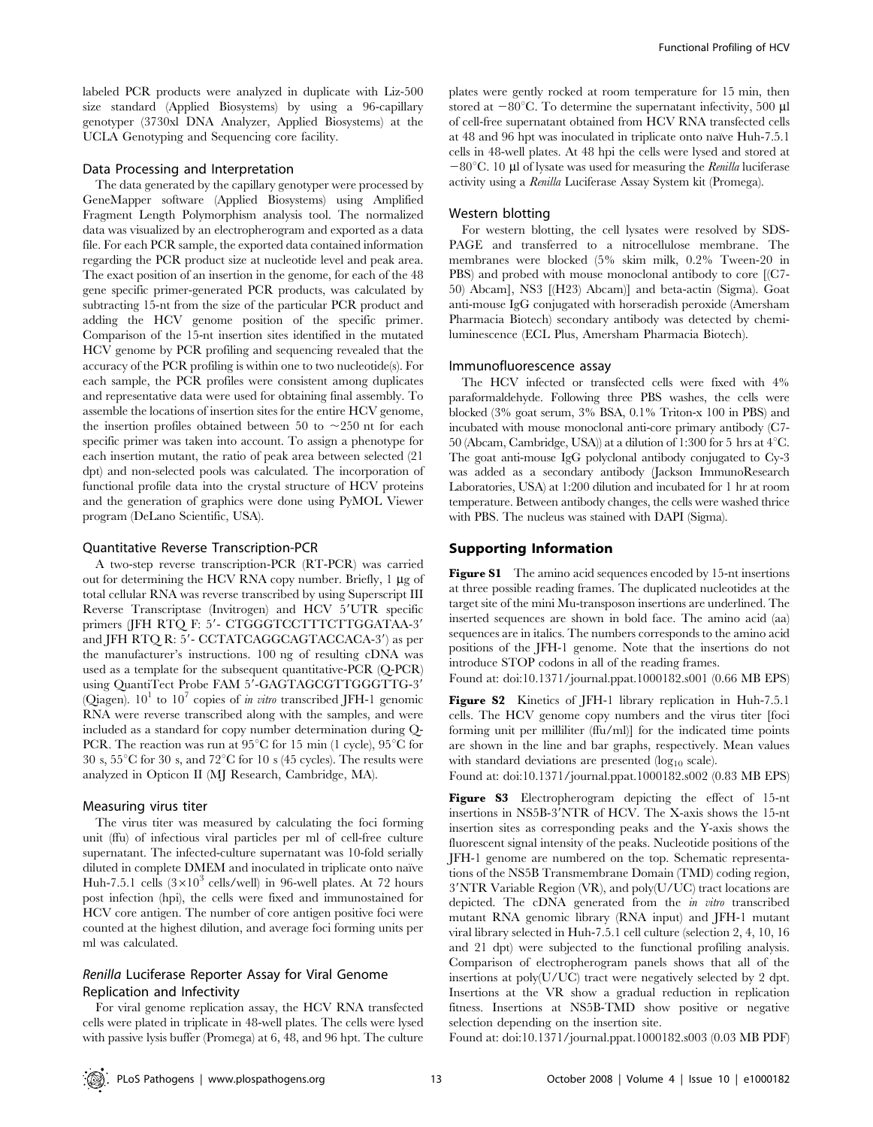labeled PCR products were analyzed in duplicate with Liz-500 size standard (Applied Biosystems) by using a 96-capillary genotyper (3730xl DNA Analyzer, Applied Biosystems) at the UCLA Genotyping and Sequencing core facility.

## Data Processing and Interpretation

The data generated by the capillary genotyper were processed by GeneMapper software (Applied Biosystems) using Amplified Fragment Length Polymorphism analysis tool. The normalized data was visualized by an electropherogram and exported as a data file. For each PCR sample, the exported data contained information regarding the PCR product size at nucleotide level and peak area. The exact position of an insertion in the genome, for each of the 48 gene specific primer-generated PCR products, was calculated by subtracting 15-nt from the size of the particular PCR product and adding the HCV genome position of the specific primer. Comparison of the 15-nt insertion sites identified in the mutated HCV genome by PCR profiling and sequencing revealed that the accuracy of the PCR profiling is within one to two nucleotide(s). For each sample, the PCR profiles were consistent among duplicates and representative data were used for obtaining final assembly. To assemble the locations of insertion sites for the entire HCV genome, the insertion profiles obtained between 50 to  $\sim$ 250 nt for each specific primer was taken into account. To assign a phenotype for each insertion mutant, the ratio of peak area between selected (21 dpt) and non-selected pools was calculated. The incorporation of functional profile data into the crystal structure of HCV proteins and the generation of graphics were done using PyMOL Viewer program (DeLano Scientific, USA).

#### Quantitative Reverse Transcription-PCR

A two-step reverse transcription-PCR (RT-PCR) was carried out for determining the HCV RNA copy number. Briefly,  $1 \mu$ g of total cellular RNA was reverse transcribed by using Superscript III Reverse Transcriptase (Invitrogen) and HCV 5'UTR specific primers (JFH RTQ F: 5'- CTGGGTCCTTTCTTGGATAA-3' and JFH RTQ R:  $5'$ - CCTATCAGGCAGTACCACA-3') as per the manufacturer's instructions. 100 ng of resulting cDNA was used as a template for the subsequent quantitative-PCR (Q-PCR) using QuantiTect Probe FAM 5'-GAGTAGCGTTGGGTTG-3' (Qiagen).  $10^1$  to  $10^7$  copies of *in vitro* transcribed JFH-1 genomic RNA were reverse transcribed along with the samples, and were included as a standard for copy number determination during Q-PCR. The reaction was run at  $95^{\circ}$ C for 15 min (1 cycle),  $95^{\circ}$ C for 30 s,  $55^{\circ}$ C for 30 s, and  $72^{\circ}$ C for 10 s (45 cycles). The results were analyzed in Opticon II (MJ Research, Cambridge, MA).

#### Measuring virus titer

The virus titer was measured by calculating the foci forming unit (ffu) of infectious viral particles per ml of cell-free culture supernatant. The infected-culture supernatant was 10-fold serially diluted in complete DMEM and inoculated in triplicate onto naïve Huh-7.5.1 cells  $(3\times10^3 \text{ cells/well})$  in 96-well plates. At 72 hours post infection (hpi), the cells were fixed and immunostained for HCV core antigen. The number of core antigen positive foci were counted at the highest dilution, and average foci forming units per ml was calculated.

## Renilla Luciferase Reporter Assay for Viral Genome Replication and Infectivity

For viral genome replication assay, the HCV RNA transfected cells were plated in triplicate in 48-well plates. The cells were lysed with passive lysis buffer (Promega) at 6, 48, and 96 hpt. The culture

plates were gently rocked at room temperature for 15 min, then stored at  $-80^{\circ}$ C. To determine the supernatant infectivity, 500 µl of cell-free supernatant obtained from HCV RNA transfected cells at 48 and 96 hpt was inoculated in triplicate onto naïve Huh-7.5.1 cells in 48-well plates. At 48 hpi the cells were lysed and stored at  $-80^{\circ}$ C. 10 µl of lysate was used for measuring the *Renilla* luciferase activity using a Renilla Luciferase Assay System kit (Promega).

#### Western blotting

For western blotting, the cell lysates were resolved by SDS-PAGE and transferred to a nitrocellulose membrane. The membranes were blocked (5% skim milk, 0.2% Tween-20 in PBS) and probed with mouse monoclonal antibody to core [(C7- 50) Abcam], NS3 [(H23) Abcam)] and beta-actin (Sigma). Goat anti-mouse IgG conjugated with horseradish peroxide (Amersham Pharmacia Biotech) secondary antibody was detected by chemiluminescence (ECL Plus, Amersham Pharmacia Biotech).

#### Immunofluorescence assay

The HCV infected or transfected cells were fixed with 4% paraformaldehyde. Following three PBS washes, the cells were blocked (3% goat serum, 3% BSA, 0.1% Triton-x 100 in PBS) and incubated with mouse monoclonal anti-core primary antibody (C7- 50 (Abcam, Cambridge, USA)) at a dilution of 1:300 for 5 hrs at  $4^{\circ}$ C. The goat anti-mouse IgG polyclonal antibody conjugated to Cy-3 was added as a secondary antibody (Jackson ImmunoResearch Laboratories, USA) at 1:200 dilution and incubated for 1 hr at room temperature. Between antibody changes, the cells were washed thrice with PBS. The nucleus was stained with DAPI (Sigma).

#### Supporting Information

Figure S1 The amino acid sequences encoded by 15-nt insertions at three possible reading frames. The duplicated nucleotides at the target site of the mini Mu-transposon insertions are underlined. The inserted sequences are shown in bold face. The amino acid (aa) sequences are in italics. The numbers corresponds to the amino acid positions of the JFH-1 genome. Note that the insertions do not introduce STOP codons in all of the reading frames.

Found at: doi:10.1371/journal.ppat.1000182.s001 (0.66 MB EPS)

Figure S2 Kinetics of JFH-1 library replication in Huh-7.5.1 cells. The HCV genome copy numbers and the virus titer [foci forming unit per milliliter (ffu/ml)] for the indicated time points are shown in the line and bar graphs, respectively. Mean values with standard deviations are presented  $(log_{10} scale)$ .

Found at: doi:10.1371/journal.ppat.1000182.s002 (0.83 MB EPS)

Figure S3 Electropherogram depicting the effect of 15-nt insertions in NS5B-3'NTR of HCV. The X-axis shows the 15-nt insertion sites as corresponding peaks and the Y-axis shows the fluorescent signal intensity of the peaks. Nucleotide positions of the JFH-1 genome are numbered on the top. Schematic representations of the NS5B Transmembrane Domain (TMD) coding region,  $3'NTR$  Variable Region (VR), and poly(U/UC) tract locations are depicted. The cDNA generated from the *in vitro* transcribed mutant RNA genomic library (RNA input) and JFH-1 mutant viral library selected in Huh-7.5.1 cell culture (selection 2, 4, 10, 16 and 21 dpt) were subjected to the functional profiling analysis. Comparison of electropherogram panels shows that all of the insertions at poly(U/UC) tract were negatively selected by 2 dpt. Insertions at the VR show a gradual reduction in replication fitness. Insertions at NS5B-TMD show positive or negative selection depending on the insertion site.

Found at: doi:10.1371/journal.ppat.1000182.s003 (0.03 MB PDF)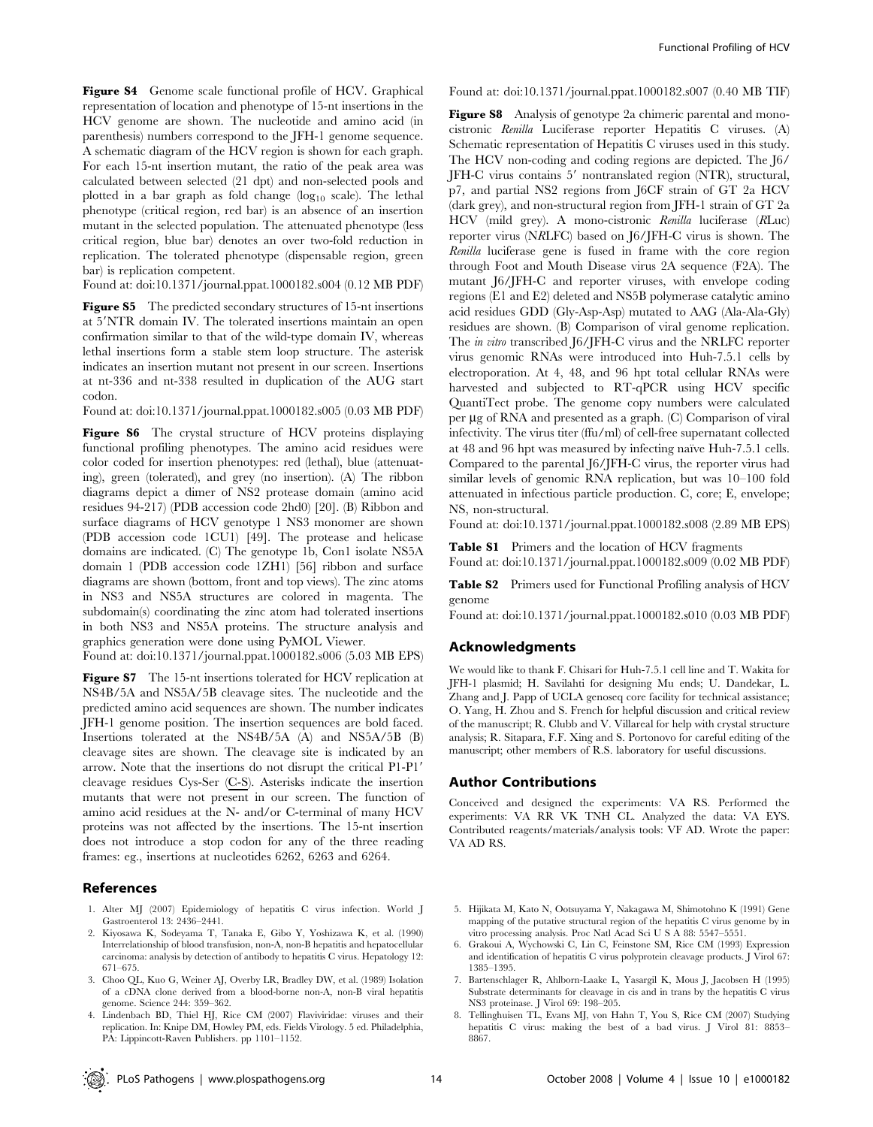Figure S4 Genome scale functional profile of HCV. Graphical representation of location and phenotype of 15-nt insertions in the HCV genome are shown. The nucleotide and amino acid (in parenthesis) numbers correspond to the JFH-1 genome sequence. A schematic diagram of the HCV region is shown for each graph. For each 15-nt insertion mutant, the ratio of the peak area was calculated between selected (21 dpt) and non-selected pools and plotted in a bar graph as fold change  $(\log_{10} \, \text{scale})$ . The lethal phenotype (critical region, red bar) is an absence of an insertion mutant in the selected population. The attenuated phenotype (less critical region, blue bar) denotes an over two-fold reduction in replication. The tolerated phenotype (dispensable region, green bar) is replication competent.

Found at: doi:10.1371/journal.ppat.1000182.s004 (0.12 MB PDF)

Figure S5 The predicted secondary structures of 15-nt insertions at 5'NTR domain IV. The tolerated insertions maintain an open confirmation similar to that of the wild-type domain IV, whereas lethal insertions form a stable stem loop structure. The asterisk indicates an insertion mutant not present in our screen. Insertions at nt-336 and nt-338 resulted in duplication of the AUG start codon.

Found at: doi:10.1371/journal.ppat.1000182.s005 (0.03 MB PDF)

Figure S6 The crystal structure of HCV proteins displaying functional profiling phenotypes. The amino acid residues were color coded for insertion phenotypes: red (lethal), blue (attenuating), green (tolerated), and grey (no insertion). (A) The ribbon diagrams depict a dimer of NS2 protease domain (amino acid residues 94-217) (PDB accession code 2hd0) [20]. (B) Ribbon and surface diagrams of HCV genotype 1 NS3 monomer are shown (PDB accession code 1CU1) [49]. The protease and helicase domains are indicated. (C) The genotype 1b, Con1 isolate NS5A domain 1 (PDB accession code 1ZH1) [56] ribbon and surface diagrams are shown (bottom, front and top views). The zinc atoms in NS3 and NS5A structures are colored in magenta. The subdomain(s) coordinating the zinc atom had tolerated insertions in both NS3 and NS5A proteins. The structure analysis and graphics generation were done using PyMOL Viewer.

Found at: doi:10.1371/journal.ppat.1000182.s006 (5.03 MB EPS)

Figure S7 The 15-nt insertions tolerated for HCV replication at NS4B/5A and NS5A/5B cleavage sites. The nucleotide and the predicted amino acid sequences are shown. The number indicates JFH-1 genome position. The insertion sequences are bold faced. Insertions tolerated at the NS4B/5A (A) and NS5A/5B (B) cleavage sites are shown. The cleavage site is indicated by an arrow. Note that the insertions do not disrupt the critical P1-P1<sup>'</sup> cleavage residues Cys-Ser (C-S). Asterisks indicate the insertion mutants that were not present in our screen. The function of amino acid residues at the N- and/or C-terminal of many HCV proteins was not affected by the insertions. The 15-nt insertion does not introduce a stop codon for any of the three reading frames: eg., insertions at nucleotides 6262, 6263 and 6264.

## References

- 1. Alter MJ (2007) Epidemiology of hepatitis C virus infection. World J Gastroenterol 13: 2436–2441.
- 2. Kiyosawa K, Sodeyama T, Tanaka E, Gibo Y, Yoshizawa K, et al. (1990) Interrelationship of blood transfusion, non-A, non-B hepatitis and hepatocellular carcinoma: analysis by detection of antibody to hepatitis C virus. Hepatology 12: 671–675.
- 3. Choo QL, Kuo G, Weiner AJ, Overby LR, Bradley DW, et al. (1989) Isolation of a cDNA clone derived from a blood-borne non-A, non-B viral hepatitis genome. Science 244: 359–362.
- 4. Lindenbach BD, Thiel HJ, Rice CM (2007) Flaviviridae: viruses and their replication. In: Knipe DM, Howley PM, eds. Fields Virology. 5 ed. Philadelphia, PA: Lippincott-Raven Publishers. pp 1101–1152.

Found at: doi:10.1371/journal.ppat.1000182.s007 (0.40 MB TIF)

Figure S8 Analysis of genotype 2a chimeric parental and monocistronic Renilla Luciferase reporter Hepatitis C viruses. (A) Schematic representation of Hepatitis C viruses used in this study. The HCV non-coding and coding regions are depicted. The J6/ JFH-C virus contains 5' nontranslated region (NTR), structural, p7, and partial NS2 regions from J6CF strain of GT 2a HCV (dark grey), and non-structural region from JFH-1 strain of GT 2a HCV (mild grey). A mono-cistronic Renilla luciferase (RLuc) reporter virus (NRLFC) based on J6/JFH-C virus is shown. The Renilla luciferase gene is fused in frame with the core region through Foot and Mouth Disease virus 2A sequence (F2A). The mutant J6/JFH-C and reporter viruses, with envelope coding regions (E1 and E2) deleted and NS5B polymerase catalytic amino acid residues GDD (Gly-Asp-Asp) mutated to AAG (Ala-Ala-Gly) residues are shown. (B) Comparison of viral genome replication. The in vitro transcribed J6/JFH-C virus and the NRLFC reporter virus genomic RNAs were introduced into Huh-7.5.1 cells by electroporation. At 4, 48, and 96 hpt total cellular RNAs were harvested and subjected to RT-qPCR using HCV specific QuantiTect probe. The genome copy numbers were calculated per µg of RNA and presented as a graph. (C) Comparison of viral infectivity. The virus titer (ffu/ml) of cell-free supernatant collected at 48 and 96 hpt was measured by infecting naïve Huh-7.5.1 cells. Compared to the parental J6/JFH-C virus, the reporter virus had similar levels of genomic RNA replication, but was 10–100 fold attenuated in infectious particle production. C, core; E, envelope; NS, non-structural.

Found at: doi:10.1371/journal.ppat.1000182.s008 (2.89 MB EPS)

**Table S1** Primers and the location of HCV fragments Found at: doi:10.1371/journal.ppat.1000182.s009 (0.02 MB PDF)

Table S2 Primers used for Functional Profiling analysis of HCV genome

Found at: doi:10.1371/journal.ppat.1000182.s010 (0.03 MB PDF)

## Acknowledgments

We would like to thank F. Chisari for Huh-7.5.1 cell line and T. Wakita for JFH-1 plasmid; H. Savilahti for designing Mu ends; U. Dandekar, L. Zhang and J. Papp of UCLA genoseq core facility for technical assistance; O. Yang, H. Zhou and S. French for helpful discussion and critical review of the manuscript; R. Clubb and V. Villareal for help with crystal structure analysis; R. Sitapara, F.F. Xing and S. Portonovo for careful editing of the manuscript; other members of R.S. laboratory for useful discussions.

### Author Contributions

Conceived and designed the experiments: VA RS. Performed the experiments: VA RR VK TNH CL. Analyzed the data: VA EYS. Contributed reagents/materials/analysis tools: VF AD. Wrote the paper: VA AD RS.

- 5. Hijikata M, Kato N, Ootsuyama Y, Nakagawa M, Shimotohno K (1991) Gene mapping of the putative structural region of the hepatitis C virus genome by in vitro processing analysis. Proc Natl Acad Sci U S A 88: 5547–5551.
- 6. Grakoui A, Wychowski C, Lin C, Feinstone SM, Rice CM (1993) Expression and identification of hepatitis C virus polyprotein cleavage products. J Virol 67: 1385–1395.
- 7. Bartenschlager R, Ahlborn-Laake L, Yasargil K, Mous J, Jacobsen H (1995) Substrate determinants for cleavage in cis and in trans by the hepatitis C virus NS3 proteinase. J Virol 69: 198–205.
- 8. Tellinghuisen TL, Evans MJ, von Hahn T, You S, Rice CM (2007) Studying hepatitis C virus: making the best of a bad virus. J Virol 81: 8853– 8867.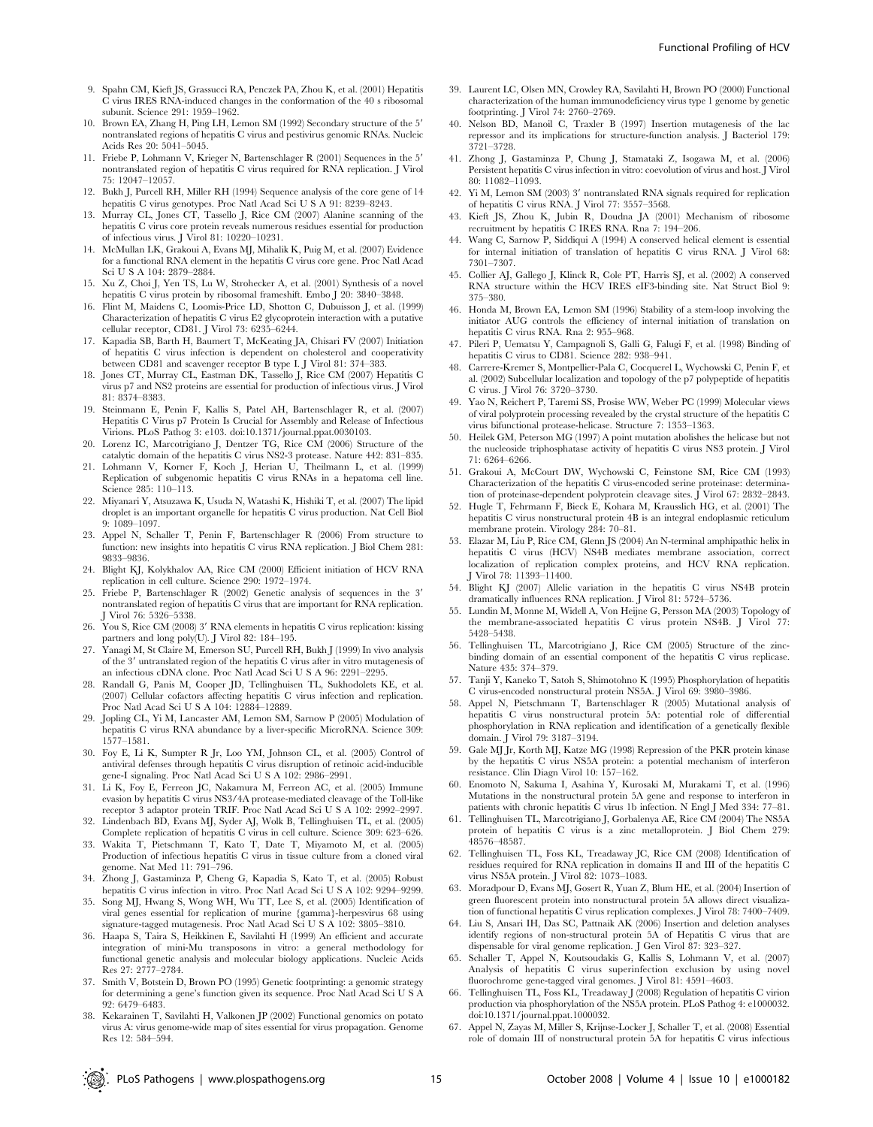- 9. Spahn CM, Kieft JS, Grassucci RA, Penczek PA, Zhou K, et al. (2001) Hepatitis C virus IRES RNA-induced changes in the conformation of the 40 s ribosomal subunit. Science 291: 1959–1962.
- 10. Brown EA, Zhang H, Ping LH, Lemon SM (1992) Secondary structure of the 5' nontranslated regions of hepatitis C virus and pestivirus genomic RNAs. Nucleic Acids Res 20: 5041–5045.
- 11. Friebe P, Lohmann V, Krieger N, Bartenschlager R (2001) Sequences in the 5' nontranslated region of hepatitis C virus required for RNA replication. J Virol 75: 12047–12057.
- 12. Bukh J, Purcell RH, Miller RH (1994) Sequence analysis of the core gene of 14 hepatitis C virus genotypes. Proc Natl Acad Sci U S A 91: 8239–8243.
- 13. Murray CL, Jones CT, Tassello J, Rice CM (2007) Alanine scanning of the hepatitis C virus core protein reveals numerous residues essential for production of infectious virus. J Virol 81: 10220–10231.
- 14. McMullan LK, Grakoui A, Evans MJ, Mihalik K, Puig M, et al. (2007) Evidence for a functional RNA element in the hepatitis C virus core gene. Proc Natl Acad Sci U S A 104: 2879–2884.
- 15. Xu Z, Choi J, Yen TS, Lu W, Strohecker A, et al. (2001) Synthesis of a novel hepatitis C virus protein by ribosomal frameshift. Embo J 20: 3840–3848.
- 16. Flint M, Maidens C, Loomis-Price LD, Shotton C, Dubuisson J, et al. (1999) Characterization of hepatitis C virus E2 glycoprotein interaction with a putative cellular receptor, CD81. J Virol 73: 6235–6244.
- 17. Kapadia SB, Barth H, Baumert T, McKeating JA, Chisari FV (2007) Initiation of hepatitis C virus infection is dependent on cholesterol and cooperativity between CD81 and scavenger receptor B type I. J Virol 81: 374–383.
- Jones CT, Murray CL, Eastman DK, Tassello J, Rice CM (2007) Hepatitis C virus p7 and NS2 proteins are essential for production of infectious virus. J Virol 81: 8374–8383.
- 19. Steinmann E, Penin F, Kallis S, Patel AH, Bartenschlager R, et al. (2007) Hepatitis C Virus p7 Protein Is Crucial for Assembly and Release of Infectious Virions. PLoS Pathog 3: e103. doi:10.1371/journal.ppat.0030103.
- 20. Lorenz IC, Marcotrigiano J, Dentzer TG, Rice CM (2006) Structure of the catalytic domain of the hepatitis C virus NS2-3 protease. Nature 442: 831–835.
- 21. Lohmann V, Korner F, Koch J, Herian U, Theilmann L, et al. (1999) Replication of subgenomic hepatitis C virus RNAs in a hepatoma cell line. Science 285: 110–113.
- 22. Miyanari Y, Atsuzawa K, Usuda N, Watashi K, Hishiki T, et al. (2007) The lipid droplet is an important organelle for hepatitis C virus production. Nat Cell Biol 9: 1089–1097.
- 23. Appel N, Schaller T, Penin F, Bartenschlager R (2006) From structure to function: new insights into hepatitis C virus RNA replication. J Biol Chem 281: 9833–9836.
- 24. Blight KJ, Kolykhalov AA, Rice CM (2000) Efficient initiation of HCV RNA replication in cell culture. Science 290: 1972–1974.
- 25. Friebe P, Bartenschlager R (2002) Genetic analysis of sequences in the 3' nontranslated region of hepatitis C virus that are important for RNA replication. J Virol 76: 5326–5338.
- 26. You S, Rice CM (2008) 3' RNA elements in hepatitis C virus replication: kissing partners and long poly(U). J Virol 82: 184–195.
- 27. Yanagi M, St Claire M, Emerson SU, Purcell RH, Bukh J (1999) In vivo analysis of the 3' untranslated region of the hepatitis C virus after in vitro mutagenesis of an infectious cDNA clone. Proc Natl Acad Sci U S A 96: 2291–2295.
- 28. Randall G, Panis M, Cooper JD, Tellinghuisen TL, Sukhodolets KE, et al. (2007) Cellular cofactors affecting hepatitis C virus infection and replication. Proc Natl Acad Sci U S A 104: 12884–12889.
- 29. Jopling CL, Yi M, Lancaster AM, Lemon SM, Sarnow P (2005) Modulation of hepatitis C virus RNA abundance by a liver-specific MicroRNA. Science 309: 1577–1581.
- 30. Foy E, Li K, Sumpter R Jr, Loo YM, Johnson CL, et al. (2005) Control of antiviral defenses through hepatitis C virus disruption of retinoic acid-inducible ene-I signaling. Proc Natl Acad Sci U S A 102: 2986-2991.
- 31. Li K, Foy E, Ferreon JC, Nakamura M, Ferreon AC, et al. (2005) Immune evasion by hepatitis C virus NS3/4A protease-mediated cleavage of the Toll-like receptor 3 adaptor protein TRIF. Proc Natl Acad Sci U S A 102: 2992–2997.
- 32. Lindenbach BD, Evans MJ, Syder AJ, Wolk B, Tellinghuisen TL, et al. (2005) Complete replication of hepatitis C virus in cell culture. Science 309: 623–626.
- 33. Wakita T, Pietschmann T, Kato T, Date T, Miyamoto M, et al. (2005) Production of infectious hepatitis C virus in tissue culture from a cloned viral genome. Nat Med 11: 791–796.
- 34. Zhong J, Gastaminza P, Cheng G, Kapadia S, Kato T, et al. (2005) Robust hepatitis C virus infection in vitro. Proc Natl Acad Sci U S A 102: 9294–9299.
- 35. Song MJ, Hwang S, Wong WH, Wu TT, Lee S, et al. (2005) Identification of viral genes essential for replication of murine {gamma}-herpesvirus 68 using signature-tagged mutagenesis. Proc Natl Acad Sci U S A 102: 3805–3810.
- 36. Haapa S, Taira S, Heikkinen E, Savilahti H (1999) An efficient and accurate integration of mini-Mu transposons in vitro: a general methodology for functional genetic analysis and molecular biology applications. Nucleic Acids Res 27: 2777–2784.
- 37. Smith V, Botstein D, Brown PO (1995) Genetic footprinting: a genomic strategy for determining a gene's function given its sequence. Proc Natl Acad Sci U S A 92: 6479–6483.
- 38. Kekarainen T, Savilahti H, Valkonen JP (2002) Functional genomics on potato virus A: virus genome-wide map of sites essential for virus propagation. Genome Res 12: 584–594.
- 39. Laurent LC, Olsen MN, Crowley RA, Savilahti H, Brown PO (2000) Functional characterization of the human immunodeficiency virus type 1 genome by genetic footprinting. J Virol 74: 2760–2769.
- 40. Nelson BD, Manoil C, Traxler B (1997) Insertion mutagenesis of the lac repressor and its implications for structure-function analysis. J Bacteriol 179: 3721–3728.
- 41. Zhong J, Gastaminza P, Chung J, Stamataki Z, Isogawa M, et al. (2006) Persistent hepatitis C virus infection in vitro: coevolution of virus and host. J Virol 80: 11082–11093.
- 42. Yi M, Lemon SM (2003) 3' nontranslated RNA signals required for replication of hepatitis C virus RNA. J Virol 77: 3557–3568.
- 43. Kieft JS, Zhou K, Jubin R, Doudna JA (2001) Mechanism of ribosome recruitment by hepatitis C IRES RNA. Rna 7: 194–206.
- 44. Wang C, Sarnow P, Siddiqui A (1994) A conserved helical element is essential for internal initiation of translation of hepatitis C virus RNA. J Virol 68: 7301–7307.
- 45. Collier AJ, Gallego J, Klinck R, Cole PT, Harris SJ, et al. (2002) A conserved RNA structure within the HCV IRES eIF3-binding site. Nat Struct Biol 9: 375–380.
- 46. Honda M, Brown EA, Lemon SM (1996) Stability of a stem-loop involving the initiator AUG controls the efficiency of internal initiation of translation on hepatitis C virus RNA. Rna 2: 955–968.
- 47. Pileri P, Uematsu Y, Campagnoli S, Galli G, Falugi F, et al. (1998) Binding of hepatitis C virus to CD81. Science 282: 938–941.
- 48. Carrere-Kremer S, Montpellier-Pala C, Cocquerel L, Wychowski C, Penin F, et al. (2002) Subcellular localization and topology of the p7 polypeptide of hepatitis C virus. J Virol 76: 3720–3730.
- 49. Yao N, Reichert P, Taremi SS, Prosise WW, Weber PC (1999) Molecular views of viral polyprotein processing revealed by the crystal structure of the hepatitis C virus bifunctional protease-helicase. Structure 7: 1353–1363.
- 50. Heilek GM, Peterson MG (1997) A point mutation abolishes the helicase but not the nucleoside triphosphatase activity of hepatitis C virus NS3 protein. J Virol 71: 6264–6266.
- 51. Grakoui A, McCourt DW, Wychowski C, Feinstone SM, Rice CM (1993) Characterization of the hepatitis C virus-encoded serine proteinase: determination of proteinase-dependent polyprotein cleavage sites. J Virol 67: 2832–2843.
- 52. Hugle T, Fehrmann F, Bieck E, Kohara M, Krausslich HG, et al. (2001) The hepatitis C virus nonstructural protein 4B is an integral endoplasmic reticulum membrane protein. Virology 284: 70–81.
- 53. Elazar M, Liu P, Rice CM, Glenn JS (2004) An N-terminal amphipathic helix in hepatitis C virus (HCV) NS4B mediates membrane association, correct localization of replication complex proteins, and HCV RNA replication. J Virol 78: 11393–11400.
- 54. Blight KJ (2007) Allelic variation in the hepatitis C virus NS4B protein dramatically influences RNA replication. J Virol 81: 5724–5736.
- 55. Lundin M, Monne M, Widell A, Von Heijne G, Persson MA (2003) Topology of the membrane-associated hepatitis C virus protein NS4B. J Virol 77: 5428–5438.
- 56. Tellinghuisen TL, Marcotrigiano J, Rice CM (2005) Structure of the zincbinding domain of an essential component of the hepatitis C virus replicase. Nature 435: 374–379.
- 57. Tanji Y, Kaneko T, Satoh S, Shimotohno K (1995) Phosphorylation of hepatitis C virus-encoded nonstructural protein NS5A. J Virol 69: 3980–3986.
- 58. Appel N, Pietschmann T, Bartenschlager R (2005) Mutational analysis of hepatitis C virus nonstructural protein 5A: potential role of differential phosphorylation in RNA replication and identification of a genetically flexible domain. J Virol 79: 3187–3194.
- 59. Gale MJ Jr, Korth MJ, Katze MG (1998) Repression of the PKR protein kinase by the hepatitis C virus NS5A protein: a potential mechanism of interferon resistance. Clin Diagn Virol 10: 157–162.
- 60. Enomoto N, Sakuma I, Asahina Y, Kurosaki M, Murakami T, et al. (1996) Mutations in the nonstructural protein 5A gene and response to interferon in patients with chronic hepatitis C virus 1b infection. N Engl J Med 334: 77–81.
- 61. Tellinghuisen TL, Marcotrigiano J, Gorbalenya AE, Rice CM (2004) The NS5A protein of hepatitis C virus is a zinc metalloprotein. J Biol Chem 279: 48576–48587.
- 62. Tellinghuisen TL, Foss KL, Treadaway JC, Rice CM (2008) Identification of residues required for RNA replication in domains II and III of the hepatitis C virus NS5A protein. J Virol 82: 1073–1083.
- 63. Moradpour D, Evans MJ, Gosert R, Yuan Z, Blum HE, et al. (2004) Insertion of green fluorescent protein into nonstructural protein 5A allows direct visualization of functional hepatitis C virus replication complexes. J Virol 78: 7400–7409.
- 64. Liu S, Ansari IH, Das SC, Pattnaik AK (2006) Insertion and deletion analyses identify regions of non-structural protein 5A of Hepatitis C virus that are dispensable for viral genome replication. J Gen Virol 87: 323–327.
- 65. Schaller T, Appel N, Koutsoudakis G, Kallis S, Lohmann V, et al. (2007) Analysis of hepatitis C virus superinfection exclusion by using novel fluorochrome gene-tagged viral genomes. J Virol 81: 4591–4603.
- 66. Tellinghuisen TL, Foss KL, Treadaway J (2008) Regulation of hepatitis C virion production via phosphorylation of the NS5A protein. PLoS Pathog 4: e1000032. doi:10.1371/journal.ppat.1000032.
- 67. Appel N, Zayas M, Miller S, Krijnse-Locker J, Schaller T, et al. (2008) Essential role of domain III of nonstructural protein 5A for hepatitis C virus infectious